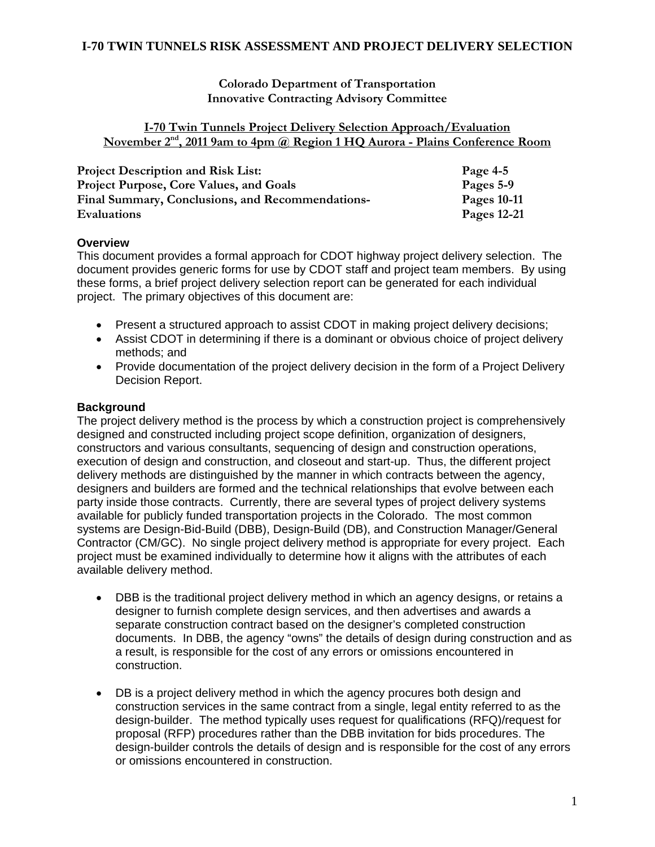**Colorado Department of Transportation Innovative Contracting Advisory Committee** 

#### **I-70 Twin Tunnels Project Delivery Selection Approach/Evaluation**  November 2<sup>nd</sup>, 2011 9am to 4pm @ Region 1 HQ Aurora - Plains Conference Room

| <b>Project Description and Risk List:</b>        | Page $4-5$  |
|--------------------------------------------------|-------------|
| Project Purpose, Core Values, and Goals          | Pages 5-9   |
| Final Summary, Conclusions, and Recommendations- | Pages 10-11 |
| <b>Evaluations</b>                               | Pages 12-21 |

#### **Overview**

This document provides a formal approach for CDOT highway project delivery selection. The document provides generic forms for use by CDOT staff and project team members. By using these forms, a brief project delivery selection report can be generated for each individual project. The primary objectives of this document are:

- Present a structured approach to assist CDOT in making project delivery decisions;
- Assist CDOT in determining if there is a dominant or obvious choice of project delivery methods; and
- Provide documentation of the project delivery decision in the form of a Project Delivery Decision Report.

### **Background**

The project delivery method is the process by which a construction project is comprehensively designed and constructed including project scope definition, organization of designers, constructors and various consultants, sequencing of design and construction operations, execution of design and construction, and closeout and start-up. Thus, the different project delivery methods are distinguished by the manner in which contracts between the agency, designers and builders are formed and the technical relationships that evolve between each party inside those contracts. Currently, there are several types of project delivery systems available for publicly funded transportation projects in the Colorado. The most common systems are Design-Bid-Build (DBB), Design-Build (DB), and Construction Manager/General Contractor (CM/GC). No single project delivery method is appropriate for every project. Each project must be examined individually to determine how it aligns with the attributes of each available delivery method.

- DBB is the traditional project delivery method in which an agency designs, or retains a designer to furnish complete design services, and then advertises and awards a separate construction contract based on the designer's completed construction documents. In DBB, the agency "owns" the details of design during construction and as a result, is responsible for the cost of any errors or omissions encountered in construction.
- DB is a project delivery method in which the agency procures both design and construction services in the same contract from a single, legal entity referred to as the design-builder. The method typically uses request for qualifications (RFQ)/request for proposal (RFP) procedures rather than the DBB invitation for bids procedures. The design-builder controls the details of design and is responsible for the cost of any errors or omissions encountered in construction.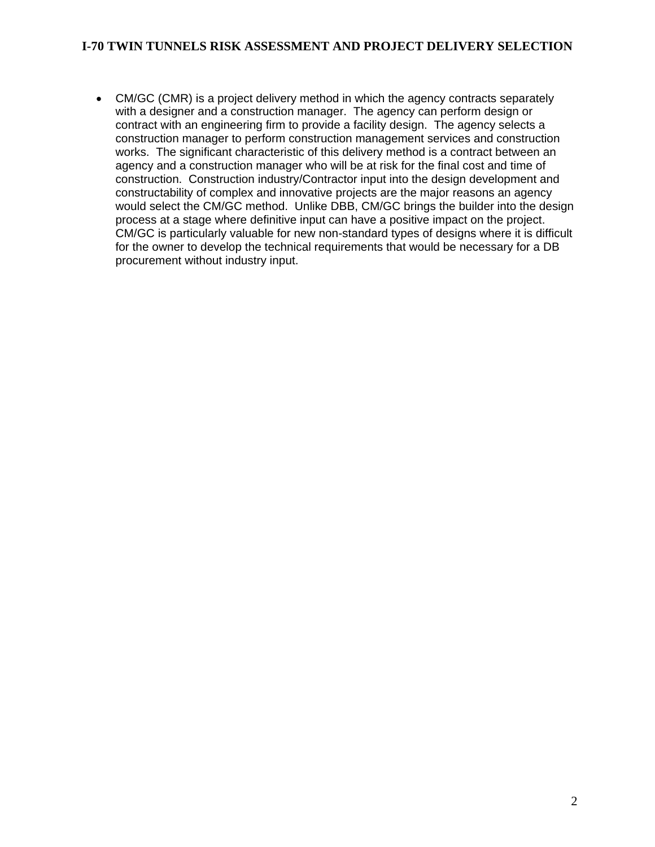CM/GC (CMR) is a project delivery method in which the agency contracts separately with a designer and a construction manager. The agency can perform design or contract with an engineering firm to provide a facility design. The agency selects a construction manager to perform construction management services and construction works. The significant characteristic of this delivery method is a contract between an agency and a construction manager who will be at risk for the final cost and time of construction. Construction industry/Contractor input into the design development and constructability of complex and innovative projects are the major reasons an agency would select the CM/GC method. Unlike DBB, CM/GC brings the builder into the design process at a stage where definitive input can have a positive impact on the project. CM/GC is particularly valuable for new non-standard types of designs where it is difficult for the owner to develop the technical requirements that would be necessary for a DB procurement without industry input.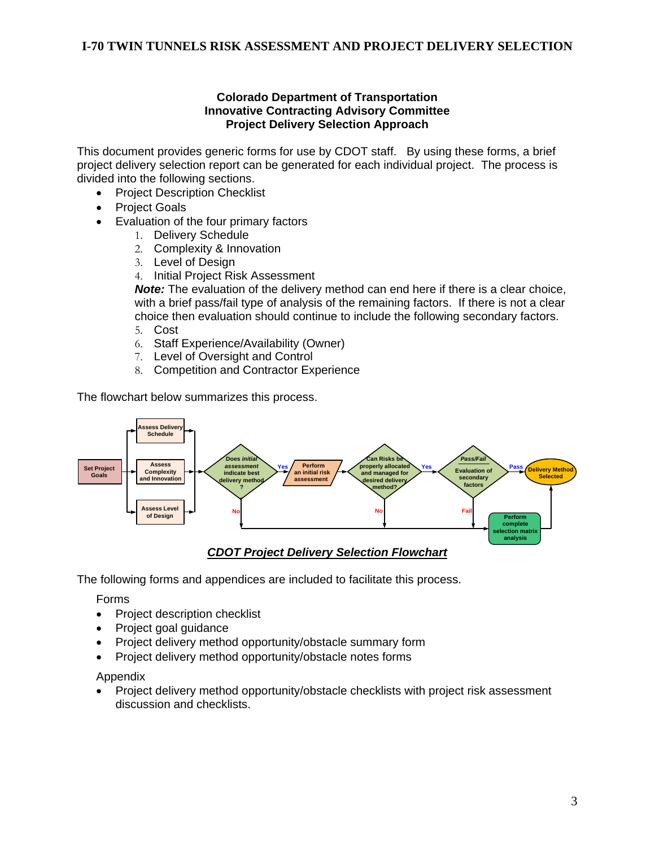#### **Colorado Department of Transportation Innovative Contracting Advisory Committee Project Delivery Selection Approach**

This document provides generic forms for use by CDOT staff. By using these forms, a brief project delivery selection report can be generated for each individual project. The process is divided into the following sections.

- Project Description Checklist
- Project Goals
- Evaluation of the four primary factors
	- 1. Delivery Schedule
	- 2. Complexity & Innovation
	- 3. Level of Design
	- 4. Initial Project Risk Assessment

*Note:* The evaluation of the delivery method can end here if there is a clear choice, with a brief pass/fail type of analysis of the remaining factors. If there is not a clear choice then evaluation should continue to include the following secondary factors.

- 5. Cost
- 6. Staff Experience/Availability (Owner)
- 7. Level of Oversight and Control
- 8. Competition and Contractor Experience

The flowchart below summarizes this process.



The following forms and appendices are included to facilitate this process.

Forms

- Project description checklist
- Project goal guidance
- Project delivery method opportunity/obstacle summary form
- Project delivery method opportunity/obstacle notes forms

Appendix

• Project delivery method opportunity/obstacle checklists with project risk assessment discussion and checklists.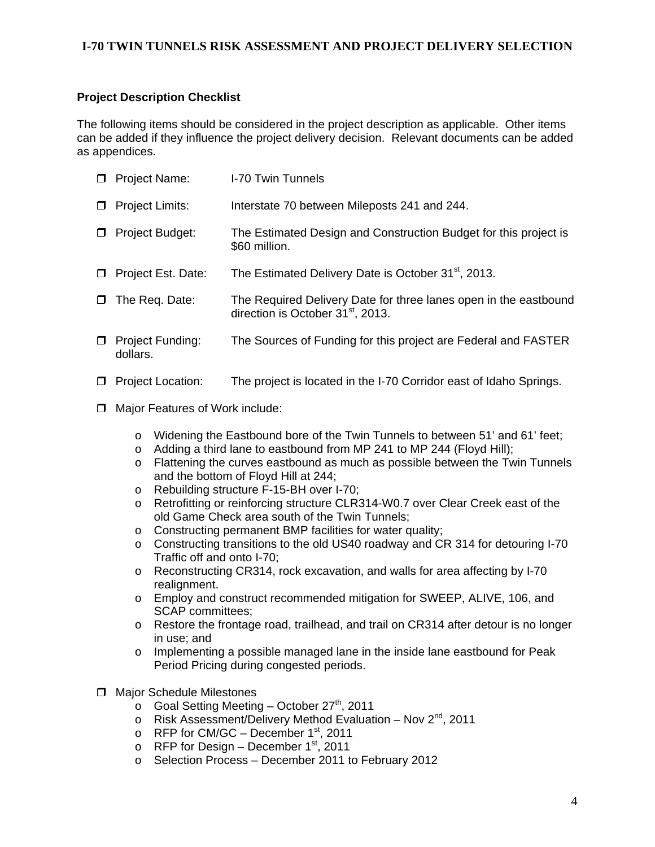# **Project Description Checklist**

The following items should be considered in the project description as applicable. Other items can be added if they influence the project delivery decision. Relevant documents can be added as appendices.

| $\Box$ | <b>Project Name:</b>         | I-70 Twin Tunnels                                                                                                 |
|--------|------------------------------|-------------------------------------------------------------------------------------------------------------------|
| 0      | <b>Project Limits:</b>       | Interstate 70 between Mileposts 241 and 244.                                                                      |
| $\Box$ | <b>Project Budget:</b>       | The Estimated Design and Construction Budget for this project is<br>\$60 million.                                 |
| $\Box$ | Project Est. Date:           | The Estimated Delivery Date is October 31 <sup>st</sup> , 2013.                                                   |
| $\Box$ | The Req. Date:               | The Required Delivery Date for three lanes open in the eastbound<br>direction is October 31 <sup>st</sup> , 2013. |
| $\Box$ | Project Funding:<br>dollars. | The Sources of Funding for this project are Federal and FASTER                                                    |

- $\Box$  Project Location: The project is located in the I-70 Corridor east of Idaho Springs.
- **D** Major Features of Work include:
	- o Widening the Eastbound bore of the Twin Tunnels to between 51' and 61' feet;
	- $\circ$  Adding a third lane to eastbound from MP 241 to MP 244 (Floyd Hill):
	- o Flattening the curves eastbound as much as possible between the Twin Tunnels and the bottom of Floyd Hill at 244;
	- o Rebuilding structure F-15-BH over I-70;
	- o Retrofitting or reinforcing structure CLR314-W0.7 over Clear Creek east of the old Game Check area south of the Twin Tunnels;
	- o Constructing permanent BMP facilities for water quality;
	- $\circ$  Constructing transitions to the old US40 roadway and CR 314 for detouring I-70 Traffic off and onto I-70;
	- o Reconstructing CR314, rock excavation, and walls for area affecting by I-70 realignment.
	- o Employ and construct recommended mitigation for SWEEP, ALIVE, 106, and SCAP committees;
	- o Restore the frontage road, trailhead, and trail on CR314 after detour is no longer in use; and
	- $\circ$  Implementing a possible managed lane in the inside lane eastbound for Peak Period Pricing during congested periods.
- $\Box$  Major Schedule Milestones
	- $\circ$  Goal Setting Meeting October 27<sup>th</sup>, 2011
	- $\circ$  Risk Assessment/Delivery Method Evaluation Nov 2<sup>nd</sup>, 2011
	- o RFP for CM/GC December  $1<sup>st</sup>$ , 2011
	- $\circ$  RFP for Design December 1<sup>st</sup>, 2011
	- o Selection Process December 2011 to February 2012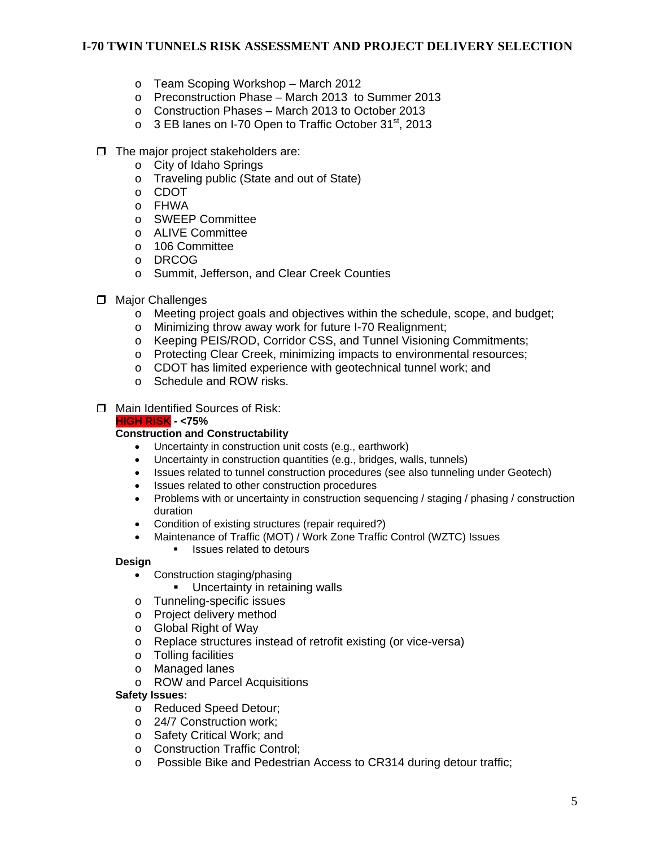- o Team Scoping Workshop March 2012
- o Preconstruction Phase March 2013 to Summer 2013
- o Construction Phases March 2013 to October 2013
- o 3 EB lanes on I-70 Open to Traffic October 31<sup>st</sup>, 2013
- $\Box$  The major project stakeholders are:
	- o City of Idaho Springs
	- o Traveling public (State and out of State)
	- o CDOT
	- o FHWA
	- o SWEEP Committee
	- o ALIVE Committee
	- o 106 Committee
	- o DRCOG
	- o Summit, Jefferson, and Clear Creek Counties
- **D** Major Challenges
	- o Meeting project goals and objectives within the schedule, scope, and budget;
	- o Minimizing throw away work for future I-70 Realignment;
	- o Keeping PEIS/ROD, Corridor CSS, and Tunnel Visioning Commitments;
	- o Protecting Clear Creek, minimizing impacts to environmental resources;
	- o CDOT has limited experience with geotechnical tunnel work; and
	- o Schedule and ROW risks.
- □ Main Identified Sources of Risk:

#### **HIGH RISK - <75%**

#### **Construction and Constructability**

- Uncertainty in construction unit costs (e.g., earthwork)
- Uncertainty in construction quantities (e.g., bridges, walls, tunnels)
- Issues related to tunnel construction procedures (see also tunneling under Geotech)
- Issues related to other construction procedures
- Problems with or uncertainty in construction sequencing / staging / phasing / construction duration
- Condition of existing structures (repair required?)
- Maintenance of Traffic (MOT) / Work Zone Traffic Control (WZTC) Issues
	- Issues related to detours

#### **Design**

- Construction staging/phasing
	- Uncertainty in retaining walls
- o Tunneling-specific issues
- o Project delivery method
- o Global Right of Way
- o Replace structures instead of retrofit existing (or vice-versa)
- o Tolling facilities
- o Managed lanes
- o ROW and Parcel Acquisitions

#### **Safety Issues:**

- o Reduced Speed Detour;
- o 24/7 Construction work;
- o Safety Critical Work; and
- o Construction Traffic Control;
- o Possible Bike and Pedestrian Access to CR314 during detour traffic;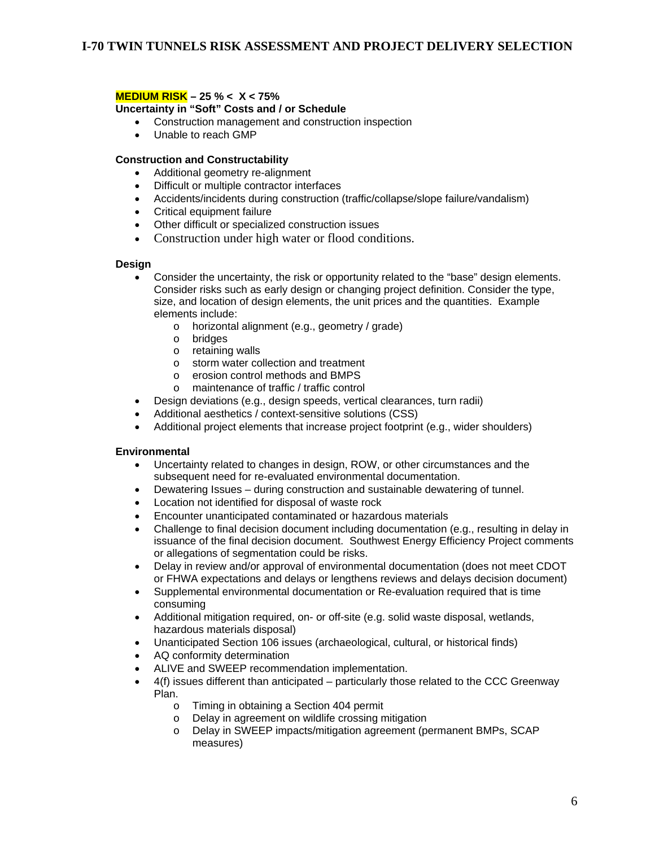#### **MEDIUM RISK – 25 % < X < 75%**

**Uncertainty in "Soft" Costs and / or Schedule** 

- Construction management and construction inspection
- Unable to reach GMP

#### **Construction and Constructability**

- Additional geometry re-alignment
- Difficult or multiple contractor interfaces
- Accidents/incidents during construction (traffic/collapse/slope failure/vandalism)
- Critical equipment failure
- Other difficult or specialized construction issues
- Construction under high water or flood conditions.

#### **Design**

- Consider the uncertainty, the risk or opportunity related to the "base" design elements. Consider risks such as early design or changing project definition. Consider the type, size, and location of design elements, the unit prices and the quantities. Example elements include:
	- o horizontal alignment (e.g., geometry / grade)
	- o bridges
	- o retaining walls
	- o storm water collection and treatment
	- o erosion control methods and BMPS
	- o maintenance of traffic / traffic control
- Design deviations (e.g., design speeds, vertical clearances, turn radii)
- Additional aesthetics / context-sensitive solutions (CSS)
- Additional project elements that increase project footprint (e.g., wider shoulders)

#### **Environmental**

- Uncertainty related to changes in design, ROW, or other circumstances and the subsequent need for re-evaluated environmental documentation.
- Dewatering Issues during construction and sustainable dewatering of tunnel.
- Location not identified for disposal of waste rock
- Encounter unanticipated contaminated or hazardous materials
- Challenge to final decision document including documentation (e.g., resulting in delay in issuance of the final decision document. Southwest Energy Efficiency Project comments or allegations of segmentation could be risks.
- Delay in review and/or approval of environmental documentation (does not meet CDOT or FHWA expectations and delays or lengthens reviews and delays decision document)
- Supplemental environmental documentation or Re-evaluation required that is time consuming
- Additional mitigation required, on- or off-site (e.g. solid waste disposal, wetlands, hazardous materials disposal)
- Unanticipated Section 106 issues (archaeological, cultural, or historical finds)
- AQ conformity determination
- ALIVE and SWEEP recommendation implementation.
- $\bullet$  4(f) issues different than anticipated particularly those related to the CCC Greenway Plan.
	- o Timing in obtaining a Section 404 permit
	- o Delay in agreement on wildlife crossing mitigation
	- o Delay in SWEEP impacts/mitigation agreement (permanent BMPs, SCAP measures)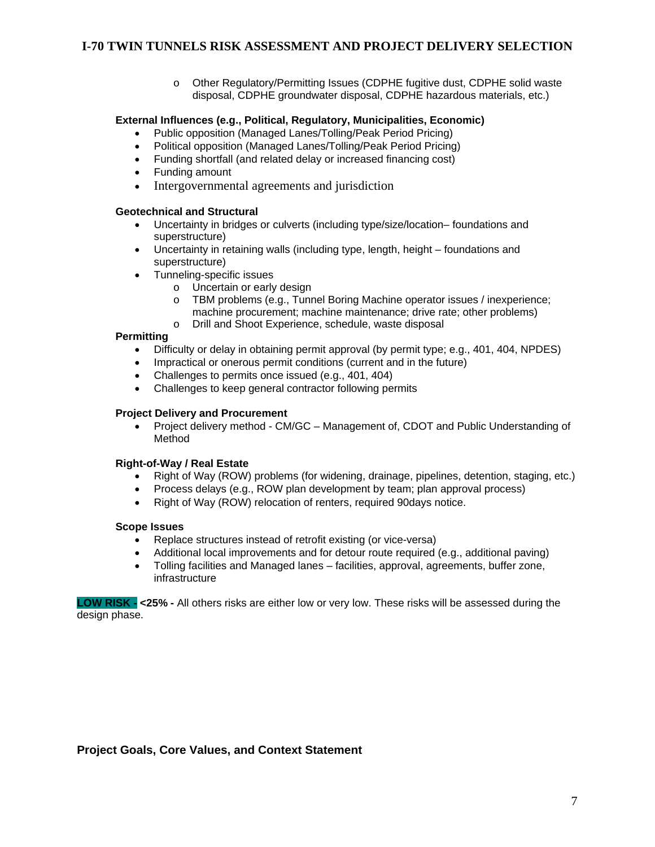o Other Regulatory/Permitting Issues (CDPHE fugitive dust, CDPHE solid waste disposal, CDPHE groundwater disposal, CDPHE hazardous materials, etc.)

#### **External Influences (e.g., Political, Regulatory, Municipalities, Economic)**

- Public opposition (Managed Lanes/Tolling/Peak Period Pricing)
- Political opposition (Managed Lanes/Tolling/Peak Period Pricing)
- Funding shortfall (and related delay or increased financing cost)
- Funding amount
- Intergovernmental agreements and jurisdiction

#### **Geotechnical and Structural**

- Uncertainty in bridges or culverts (including type/size/location– foundations and superstructure)
- Uncertainty in retaining walls (including type, length, height foundations and superstructure)
- Tunneling-specific issues
	- o Uncertain or early design
	- TBM problems (e.g., Tunnel Boring Machine operator issues / inexperience; machine procurement; machine maintenance; drive rate; other problems)
	- o Drill and Shoot Experience, schedule, waste disposal

#### **Permitting**

- Difficulty or delay in obtaining permit approval (by permit type; e.g., 401, 404, NPDES)
- Impractical or onerous permit conditions (current and in the future)
- Challenges to permits once issued (e.g., 401, 404)
- Challenges to keep general contractor following permits

#### **Project Delivery and Procurement**

 Project delivery method - CM/GC – Management of, CDOT and Public Understanding of Method

#### **Right-of-Way / Real Estate**

- Right of Way (ROW) problems (for widening, drainage, pipelines, detention, staging, etc.)
- Process delays (e.g., ROW plan development by team; plan approval process)
- Right of Way (ROW) relocation of renters, required 90days notice.

#### **Scope Issues**

- Replace structures instead of retrofit existing (or vice-versa)
- Additional local improvements and for detour route required (e.g., additional paving)
- Tolling facilities and Managed lanes facilities, approval, agreements, buffer zone, infrastructure

**LOW RISK - <25% -** All others risks are either low or very low. These risks will be assessed during the design phase.

#### **Project Goals, Core Values, and Context Statement**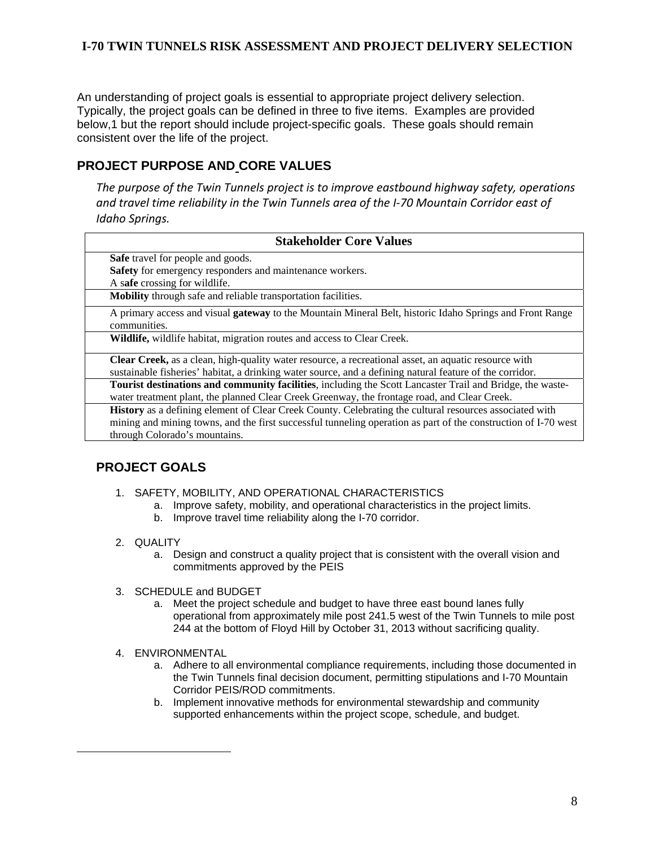An understanding of project goals is essential to appropriate project delivery selection. Typically, the project goals can be defined in three to five items. Examples are provided below,1 but the report should include project-specific goals. These goals should remain consistent over the life of the project.

# **PROJECT PURPOSE AND CORE VALUES**

*The purpose of the Twin Tunnels project is to improve eastbound highway safety, operations and travel time reliability in the Twin Tunnels area of the I‐70 Mountain Corridor east of Idaho Springs.*

| <b>Stakeholder Core Values</b>                                                                                                  |  |  |  |
|---------------------------------------------------------------------------------------------------------------------------------|--|--|--|
| <b>Safe</b> travel for people and goods.                                                                                        |  |  |  |
| Safety for emergency responders and maintenance workers.                                                                        |  |  |  |
| A safe crossing for wildlife.                                                                                                   |  |  |  |
| Mobility through safe and reliable transportation facilities.                                                                   |  |  |  |
| A primary access and visual <b>gateway</b> to the Mountain Mineral Belt, historic Idaho Springs and Front Range<br>communities. |  |  |  |
| Wildlife, wildlife habitat, migration routes and access to Clear Creek.                                                         |  |  |  |
| Clear Creek, as a clean, high-quality water resource, a recreational asset, an aquatic resource with                            |  |  |  |
| sustainable fisheries' habitat, a drinking water source, and a defining natural feature of the corridor.                        |  |  |  |
| Tourist destinations and community facilities, including the Scott Lancaster Trail and Bridge, the waste-                       |  |  |  |
| water treatment plant, the planned Clear Creek Greenway, the frontage road, and Clear Creek.                                    |  |  |  |
| <b>History</b> as a defining element of Clear Creek County. Celebrating the cultural resources associated with                  |  |  |  |
| mining and mining towns, and the first successful tunneling operation as part of the construction of I-70 west                  |  |  |  |
| through Colorado's mountains.                                                                                                   |  |  |  |

# **PROJECT GOALS**

- 1. SAFETY, MOBILITY, AND OPERATIONAL CHARACTERISTICS
	- a. Improve safety, mobility, and operational characteristics in the project limits.
	- b. Improve travel time reliability along the I-70 corridor.
- 2. QUALITY

 $\overline{a}$ 

- a. Design and construct a quality project that is consistent with the overall vision and commitments approved by the PEIS
- 3. SCHEDULE and BUDGET
	- a. Meet the project schedule and budget to have three east bound lanes fully operational from approximately mile post 241.5 west of the Twin Tunnels to mile post 244 at the bottom of Floyd Hill by October 31, 2013 without sacrificing quality.
- 4. ENVIRONMENTAL
	- a. Adhere to all environmental compliance requirements, including those documented in the Twin Tunnels final decision document, permitting stipulations and I-70 Mountain Corridor PEIS/ROD commitments.
	- b. Implement innovative methods for environmental stewardship and community supported enhancements within the project scope, schedule, and budget.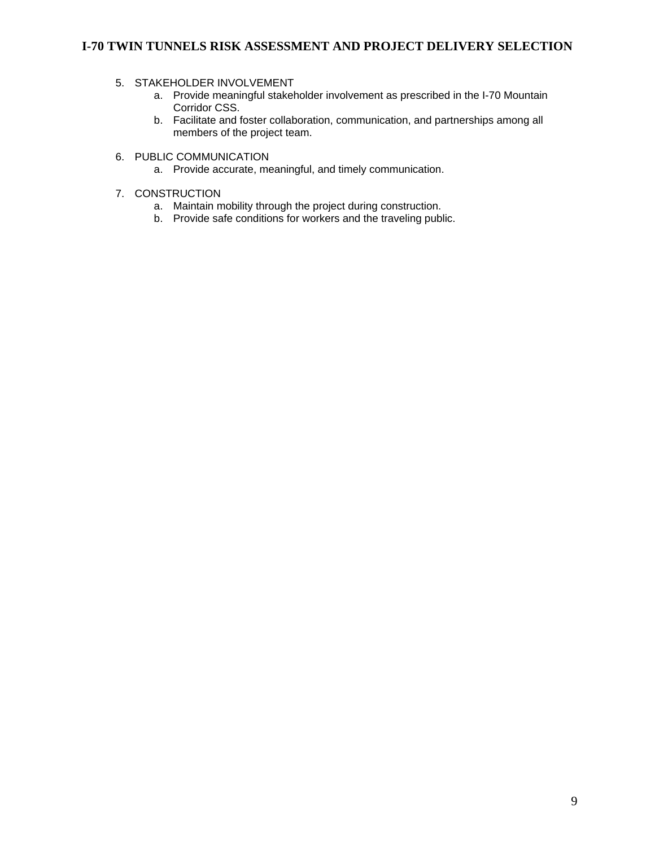#### 5. STAKEHOLDER INVOLVEMENT

- a. Provide meaningful stakeholder involvement as prescribed in the I-70 Mountain Corridor CSS.
- b. Facilitate and foster collaboration, communication, and partnerships among all members of the project team.
- 6. PUBLIC COMMUNICATION
	- a. Provide accurate, meaningful, and timely communication.

#### 7. CONSTRUCTION

- a. Maintain mobility through the project during construction.
- b. Provide safe conditions for workers and the traveling public.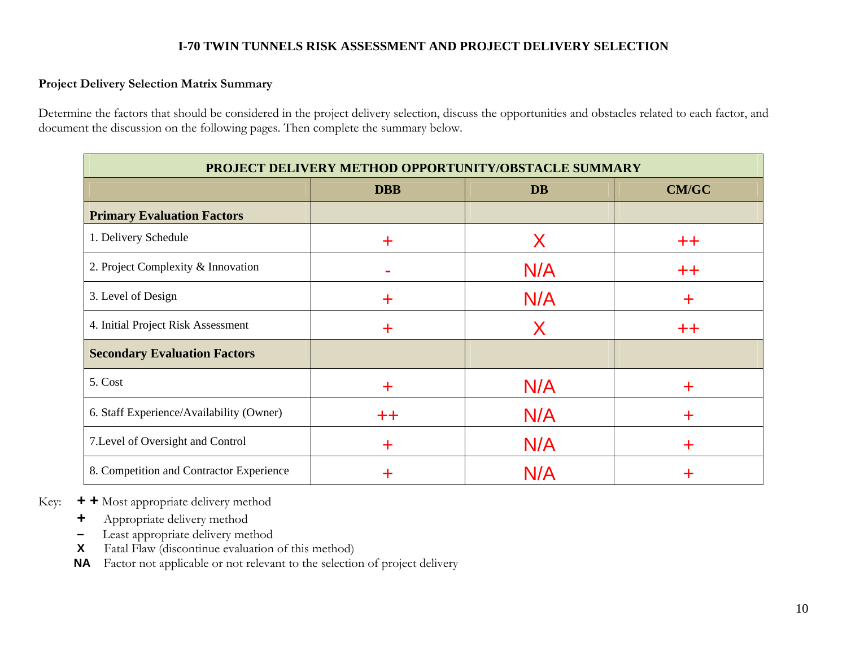### **Project Delivery Selection Matrix Summary**

Determine the factors that should be considered in the project delivery selection, discuss the opportunities and obstacles related to each factor, and document the discussion on the following pages. Then complete the summary below.

| PROJECT DELIVERY METHOD OPPORTUNITY/OBSTACLE SUMMARY |                 |     |                  |  |  |
|------------------------------------------------------|-----------------|-----|------------------|--|--|
| <b>DBB</b><br><b>CM/GC</b><br><b>DB</b>              |                 |     |                  |  |  |
| <b>Primary Evaluation Factors</b>                    |                 |     |                  |  |  |
| 1. Delivery Schedule                                 | ÷.              | Х   | $^{\mathrm{++}}$ |  |  |
| 2. Project Complexity & Innovation                   |                 | N/A | $+ +$            |  |  |
| 3. Level of Design                                   | ٠               | N/A | ┿                |  |  |
| 4. Initial Project Risk Assessment                   | ╈               | Χ   | $+ +$            |  |  |
| <b>Secondary Evaluation Factors</b>                  |                 |     |                  |  |  |
| 5. Cost                                              | ╈               | N/A | ┿                |  |  |
| 6. Staff Experience/Availability (Owner)             | $^{\mathrm{+}}$ | N/A | T                |  |  |
| 7. Level of Oversight and Control                    | ╈               | N/A | ┿                |  |  |
| 8. Competition and Contractor Experience             |                 | N/A |                  |  |  |

Key: **+ +** Most appropriate delivery method

- **<sup>+</sup>**Appropriate delivery method
- Least appropriate delivery method
- **X**Fatal Flaw (discontinue evaluation of this method)

**NA** Factor not applicable or not relevant to the selection of project delivery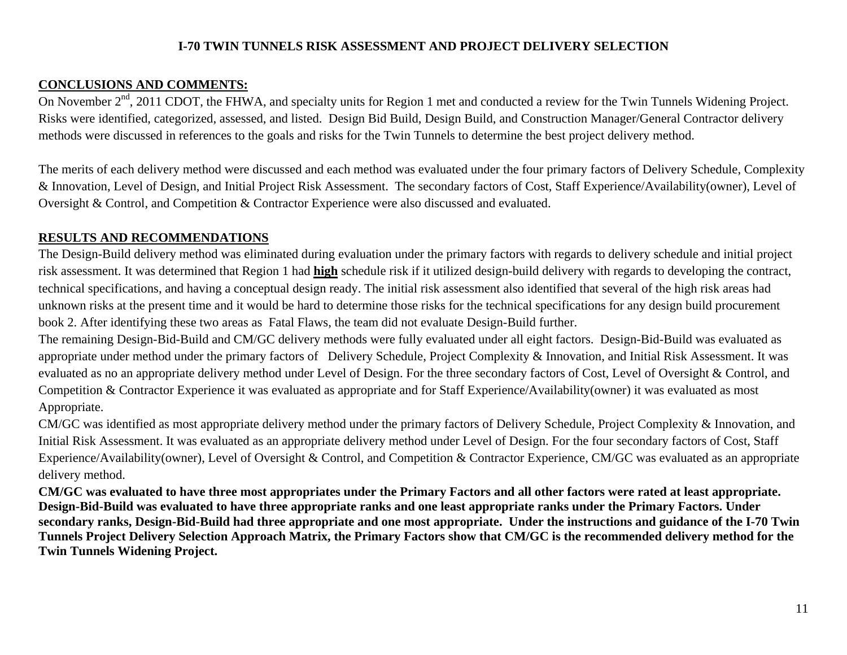# **CONCLUSIONS AND COMMENTS:**

On November 2<sup>nd</sup>, 2011 CDOT, the FHWA, and specialty units for Region 1 met and conducted a review for the Twin Tunnels Widening Project. Risks were identified, categorized, assessed, and listed. Design Bid Build, Design Build, and Construction Manager/General Contractor delivery methods were discussed in references to the goals and risks for the Twin Tunnels to determine the best project delivery method.

The merits of each delivery method were discussed and each method was evaluated under the four primary factors of Delivery Schedule, Complexity & Innovation, Level of Design, and Initial Project Risk Assessment. The secondary factors of Cost, Staff Experience/Availability(owner), Level of Oversight & Control, and Competition & Contractor Experience were also discussed and evaluated.

# **RESULTS AND RECOMMENDATIONS**

The Design-Build delivery method was eliminated during evaluation under the primary factors with regards to delivery schedule and initial project risk assessment. It was determined that Region 1 had **high** schedule risk if it utilized design-build delivery with regards to developing the contract, technical specifications, and having a conceptual design ready. The initial risk assessment also identified that several of the high risk areas had unknown risks at the present time and it would be hard to determine those risks for the technical specifications for any design build procurement book 2. After identifying these two areas as Fatal Flaws, the team did not evaluate Design-Build further.

The remaining Design-Bid-Build and CM/GC delivery methods were fully evaluated under all eight factors. Design-Bid-Build was evaluated as appropriate under method under the primary factors of Delivery Schedule, Project Complexity & Innovation, and Initial Risk Assessment. It was evaluated as no an appropriate delivery method under Level of Design. For the three secondary factors of Cost, Level of Oversight & Control, and Competition & Contractor Experience it was evaluated as appropriate and for Staff Experience/Availability(owner) it was evaluated as most Appropriate.

CM/GC was identified as most appropriate delivery method under the primary factors of Delivery Schedule, Project Complexity & Innovation, and Initial Risk Assessment. It was evaluated as an appropriate delivery method under Level of Design. For the four secondary factors of Cost, Staff Experience/Availability(owner), Level of Oversight & Control, and Competition & Contractor Experience, CM/GC was evaluated as an appropriate delivery method.

**CM/GC was evaluated to have three most appropriates under the Primary Factors and all other factors were rated at least appropriate. Design-Bid-Build was evaluated to have three appropriate ranks and one least appropriate ranks under the Primary Factors. Under secondary ranks, Design-Bid-Build had three appropriate and one most appropriate. Under the instructions and guidance of the I-70 Twin Tunnels Project Delivery Selection Approach Matrix, the Primary Factors show that CM/GC is the recommended delivery method for the Twin Tunnels Widening Project.**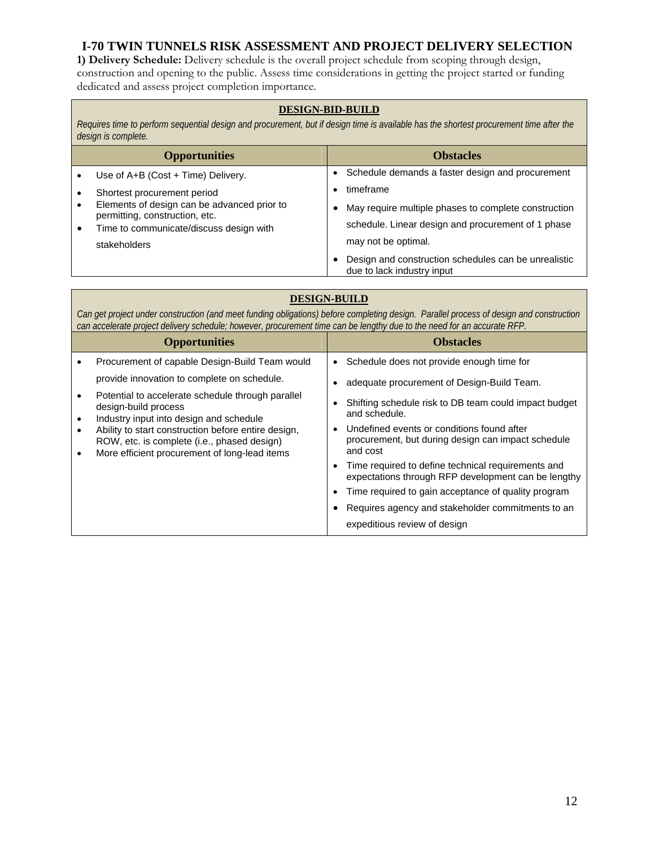**1) Delivery Schedule:** Delivery schedule is the overall project schedule from scoping through design, construction and opening to the public. Assess time considerations in getting the project started or funding dedicated and assess project completion importance.

#### **DESIGN-BID-BUILD**

*Requires time to perform sequential design and procurement, but if design time is available has the shortest procurement time after the design is complete.*

| <b>Opportunities</b>                                                      |           | <b>Obstacles</b>                                                                   |
|---------------------------------------------------------------------------|-----------|------------------------------------------------------------------------------------|
| Use of A+B (Cost + Time) Delivery.                                        |           | Schedule demands a faster design and procurement                                   |
| Shortest procurement period                                               |           | timeframe                                                                          |
| Elements of design can be advanced prior to                               | $\bullet$ | May require multiple phases to complete construction                               |
| permitting, construction, etc.<br>Time to communicate/discuss design with |           | schedule. Linear design and procurement of 1 phase                                 |
| stakeholders                                                              |           | may not be optimal.                                                                |
|                                                                           |           | Design and construction schedules can be unrealistic<br>due to lack industry input |

# **DESIGN-BUILD**

*Can get project under construction (and meet funding obligations) before completing design. Parallel process of design and construction can accelerate project delivery schedule; however, procurement time can be lengthy due to the need for an accurate RFP.* 

| <b>Opportunities</b>                                                                                                                                | <b>Obstacles</b>                                                                                                          |
|-----------------------------------------------------------------------------------------------------------------------------------------------------|---------------------------------------------------------------------------------------------------------------------------|
| Procurement of capable Design-Build Team would                                                                                                      | Schedule does not provide enough time for<br>$\bullet$                                                                    |
| provide innovation to complete on schedule.                                                                                                         | adequate procurement of Design-Build Team.                                                                                |
| Potential to accelerate schedule through parallel<br>design-build process<br>Industry input into design and schedule                                | Shifting schedule risk to DB team could impact budget<br>and schedule.                                                    |
| Ability to start construction before entire design,<br>ROW, etc. is complete (i.e., phased design)<br>More efficient procurement of long-lead items | Undefined events or conditions found after<br>$\bullet$<br>procurement, but during design can impact schedule<br>and cost |
|                                                                                                                                                     | Time required to define technical requirements and<br>expectations through RFP development can be lengthy                 |
|                                                                                                                                                     | Time required to gain acceptance of quality program                                                                       |
|                                                                                                                                                     | Requires agency and stakeholder commitments to an                                                                         |
|                                                                                                                                                     | expeditious review of design                                                                                              |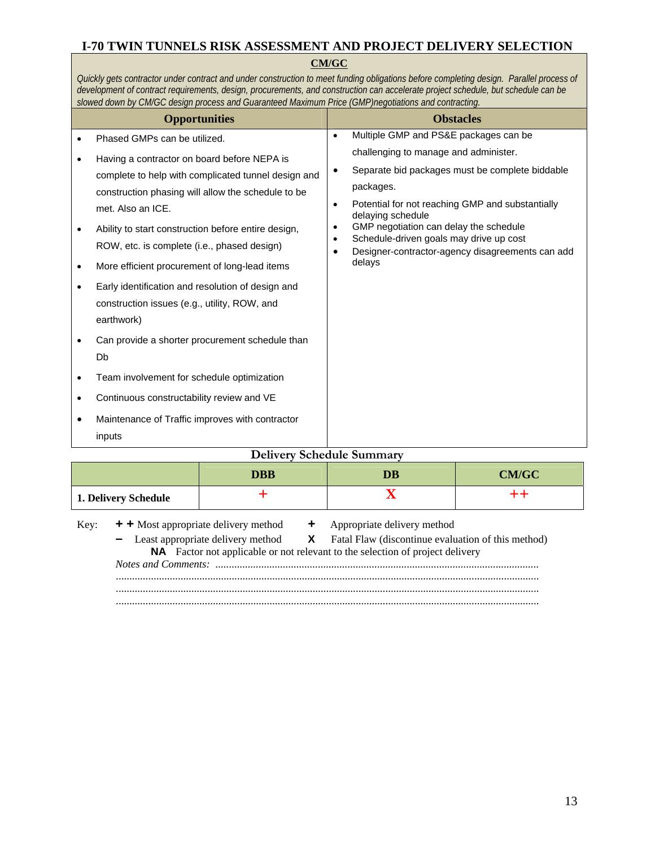#### **CM/GC**

*Quickly gets contractor under contract and under construction to meet funding obligations before completing design. Parallel process of development of contract requirements, design, procurements, and construction can accelerate project schedule, but schedule can be slowed down by CM/GC design process and Guaranteed Maximum Price (GMP)negotiations and contracting.* 

| <b>Opportunities</b>             |                                                                                                                                                                                                                                                                                                                                                                                                                                                                                                                                                                                                                                                                          | <b>Obstacles</b>                                              |                                                                                                                                                                                                                                                                                                                                   |  |  |  |
|----------------------------------|--------------------------------------------------------------------------------------------------------------------------------------------------------------------------------------------------------------------------------------------------------------------------------------------------------------------------------------------------------------------------------------------------------------------------------------------------------------------------------------------------------------------------------------------------------------------------------------------------------------------------------------------------------------------------|---------------------------------------------------------------|-----------------------------------------------------------------------------------------------------------------------------------------------------------------------------------------------------------------------------------------------------------------------------------------------------------------------------------|--|--|--|
|                                  | Phased GMPs can be utilized.                                                                                                                                                                                                                                                                                                                                                                                                                                                                                                                                                                                                                                             | $\bullet$                                                     | Multiple GMP and PS&E packages can be                                                                                                                                                                                                                                                                                             |  |  |  |
| $\bullet$<br>٠<br>٠<br>$\bullet$ | Having a contractor on board before NEPA is<br>complete to help with complicated tunnel design and<br>construction phasing will allow the schedule to be<br>met. Also an ICE.<br>Ability to start construction before entire design,<br>ROW, etc. is complete (i.e., phased design)<br>More efficient procurement of long-lead items<br>Early identification and resolution of design and<br>construction issues (e.g., utility, ROW, and<br>earthwork)<br>Can provide a shorter procurement schedule than<br>Db<br>Team involvement for schedule optimization<br>Continuous constructability review and VE<br>Maintenance of Traffic improves with contractor<br>inputs | $\bullet$<br>$\bullet$<br>$\bullet$<br>$\bullet$<br>$\bullet$ | challenging to manage and administer.<br>Separate bid packages must be complete biddable<br>packages.<br>Potential for not reaching GMP and substantially<br>delaying schedule<br>GMP negotiation can delay the schedule<br>Schedule-driven goals may drive up cost<br>Designer-contractor-agency disagreements can add<br>delays |  |  |  |
|                                  | <b>Delivery Schedule Summary</b>                                                                                                                                                                                                                                                                                                                                                                                                                                                                                                                                                                                                                                         |                                                               |                                                                                                                                                                                                                                                                                                                                   |  |  |  |

| Denvery Schedule Summary |              |  |  |  |  |
|--------------------------|--------------|--|--|--|--|
|                          | <b>CM/GC</b> |  |  |  |  |
| 1. Delivery Schedule     |              |  |  |  |  |

| Key: | + + Most appropriate delivery method + Appropriate delivery method |                                                                                                 |
|------|--------------------------------------------------------------------|-------------------------------------------------------------------------------------------------|
|      |                                                                    | - Least appropriate delivery method <b>X</b> Fatal Flaw (discontinue evaluation of this method) |
|      |                                                                    | <b>NA</b> Factor not applicable or not relevant to the selection of project delivery            |
|      |                                                                    |                                                                                                 |
|      |                                                                    |                                                                                                 |
|      |                                                                    |                                                                                                 |
|      |                                                                    |                                                                                                 |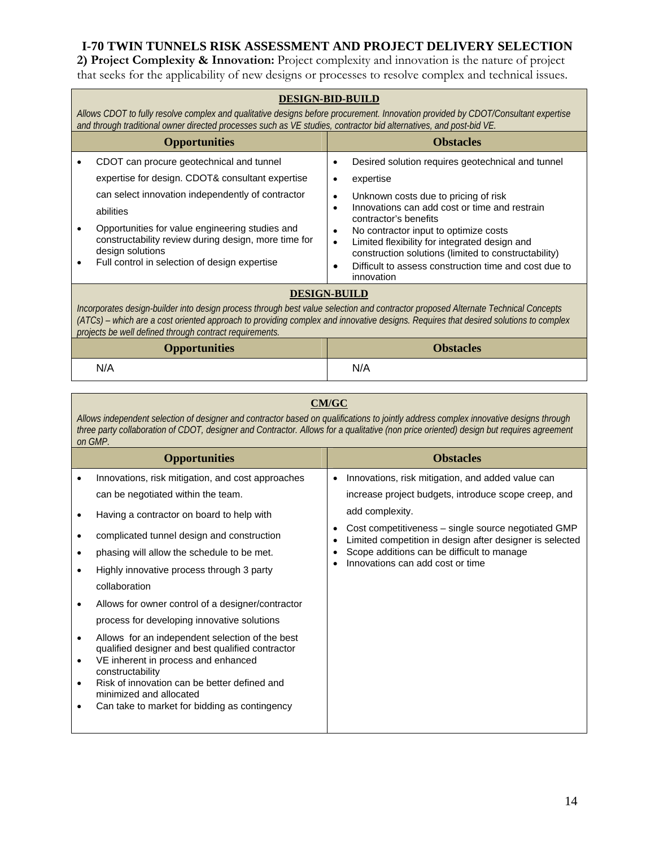**2) Project Complexity & Innovation:** Project complexity and innovation is the nature of project that seeks for the applicability of new designs or processes to resolve complex and technical issues.

|                                                                                                                                                                                                                                                                                                                                                            | <b>DESIGN-BID-BUILD</b><br>Allows CDOT to fully resolve complex and qualitative designs before procurement. Innovation provided by CDOT/Consultant expertise<br>and through traditional owner directed processes such as VE studies, contractor bid alternatives, and post-bid VE. |                                                                                                                                                                                                        |  |  |
|------------------------------------------------------------------------------------------------------------------------------------------------------------------------------------------------------------------------------------------------------------------------------------------------------------------------------------------------------------|------------------------------------------------------------------------------------------------------------------------------------------------------------------------------------------------------------------------------------------------------------------------------------|--------------------------------------------------------------------------------------------------------------------------------------------------------------------------------------------------------|--|--|
|                                                                                                                                                                                                                                                                                                                                                            | <b>Opportunities</b>                                                                                                                                                                                                                                                               | <b>Obstacles</b>                                                                                                                                                                                       |  |  |
|                                                                                                                                                                                                                                                                                                                                                            | CDOT can procure geotechnical and tunnel                                                                                                                                                                                                                                           | Desired solution requires geotechnical and tunnel<br>$\bullet$                                                                                                                                         |  |  |
|                                                                                                                                                                                                                                                                                                                                                            | expertise for design. CDOT& consultant expertise                                                                                                                                                                                                                                   | expertise<br>٠                                                                                                                                                                                         |  |  |
|                                                                                                                                                                                                                                                                                                                                                            | can select innovation independently of contractor<br>abilities<br>Opportunities for value engineering studies and                                                                                                                                                                  | Unknown costs due to pricing of risk<br>$\bullet$<br>Innovations can add cost or time and restrain<br>$\bullet$<br>contractor's benefits<br>No contractor input to optimize costs<br>$\bullet$         |  |  |
|                                                                                                                                                                                                                                                                                                                                                            | constructability review during design, more time for<br>design solutions<br>Full control in selection of design expertise                                                                                                                                                          | Limited flexibility for integrated design and<br>$\bullet$<br>construction solutions (limited to constructability)<br>Difficult to assess construction time and cost due to<br>$\bullet$<br>innovation |  |  |
| <b>DESIGN-BUILD</b><br>Incorporates design-builder into design process through best value selection and contractor proposed Alternate Technical Concepts<br>(ATCs) – which are a cost oriented approach to providing complex and innovative designs. Requires that desired solutions to complex<br>projects be well defined through contract requirements. |                                                                                                                                                                                                                                                                                    |                                                                                                                                                                                                        |  |  |
|                                                                                                                                                                                                                                                                                                                                                            | <b>Opportunities</b>                                                                                                                                                                                                                                                               | <b>Obstacles</b>                                                                                                                                                                                       |  |  |
| N/A<br>N/A                                                                                                                                                                                                                                                                                                                                                 |                                                                                                                                                                                                                                                                                    |                                                                                                                                                                                                        |  |  |

# **CM/GC**

*Allows independent selection of designer and contractor based on qualifications to jointly address complex innovative designs through three party collaboration of CDOT, designer and Contractor. Allows for a qualitative (non price oriented) design but requires agreement on GMP.*

|           | <b>Opportunities</b>                                                                                        | <b>Obstacles</b>                                                                                                                          |
|-----------|-------------------------------------------------------------------------------------------------------------|-------------------------------------------------------------------------------------------------------------------------------------------|
|           | Innovations, risk mitigation, and cost approaches                                                           | Innovations, risk mitigation, and added value can<br>$\bullet$                                                                            |
|           | can be negotiated within the team.                                                                          | increase project budgets, introduce scope creep, and                                                                                      |
|           | Having a contractor on board to help with                                                                   | add complexity.                                                                                                                           |
|           | complicated tunnel design and construction                                                                  | Cost competitiveness – single source negotiated GMP<br>$\bullet$<br>Limited competition in design after designer is selected<br>$\bullet$ |
|           | phasing will allow the schedule to be met.                                                                  | Scope additions can be difficult to manage<br>٠<br>Innovations can add cost or time<br>$\bullet$                                          |
|           | Highly innovative process through 3 party                                                                   |                                                                                                                                           |
|           | collaboration                                                                                               |                                                                                                                                           |
|           | Allows for owner control of a designer/contractor                                                           |                                                                                                                                           |
|           | process for developing innovative solutions                                                                 |                                                                                                                                           |
| $\bullet$ | Allows for an independent selection of the best                                                             |                                                                                                                                           |
| $\bullet$ | qualified designer and best qualified contractor<br>VE inherent in process and enhanced<br>constructability |                                                                                                                                           |
| ٠         | Risk of innovation can be better defined and<br>minimized and allocated                                     |                                                                                                                                           |
|           | Can take to market for bidding as contingency                                                               |                                                                                                                                           |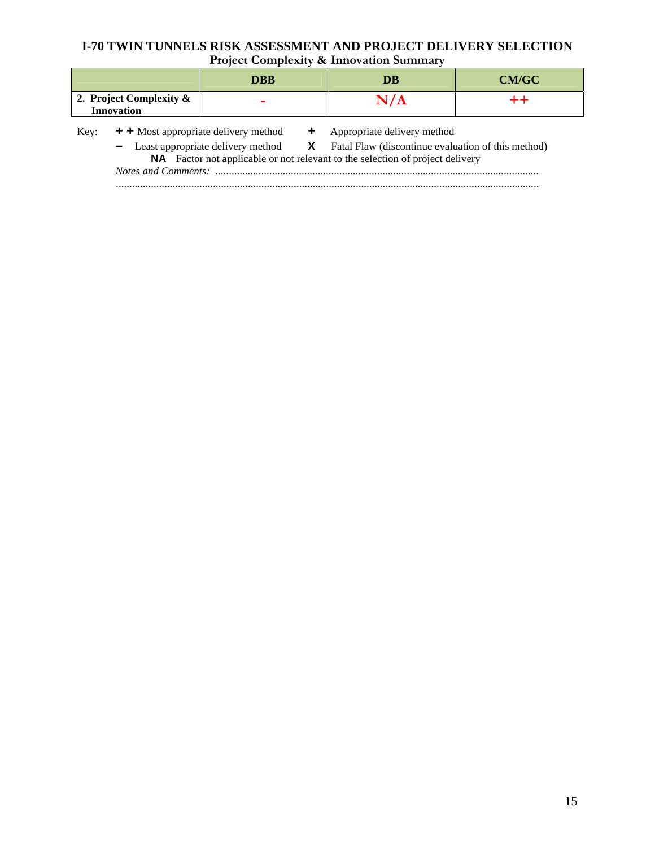# **I-70 TWIN TUNNELS RISK ASSESSMENT AND PROJECT DELIVERY SELECTION Project Complexity & Innovation Summary**

|                                                 |                                                                                                                                                                                                                                   | <b>DBB</b> | DB                          | CM/GC |
|-------------------------------------------------|-----------------------------------------------------------------------------------------------------------------------------------------------------------------------------------------------------------------------------------|------------|-----------------------------|-------|
| 2. Project Complexity $\&$<br><b>Innovation</b> |                                                                                                                                                                                                                                   |            | N/A                         |       |
| Key:                                            | $+$ + Most appropriate delivery method<br>- Least appropriate delivery method <b>X</b> Fatal Flaw (discontinue evaluation of this method)<br><b>NA</b> Factor not applicable or not relevant to the selection of project delivery |            | Appropriate delivery method |       |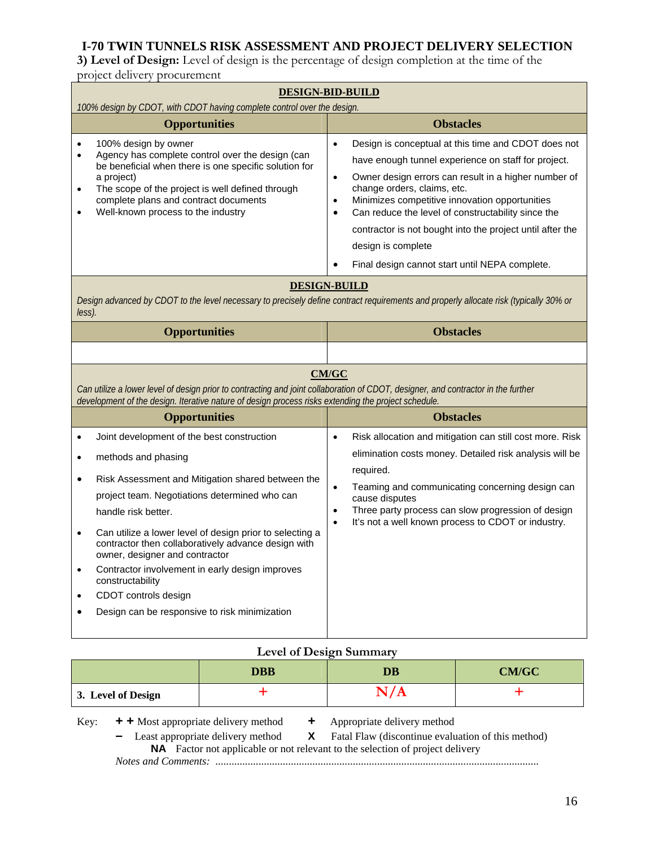**3) Level of Design:** Level of design is the percentage of design completion at the time of the project delivery procurement

|                                                                                                                                                                                                                                                                                                                                        | <b>DESIGN-BID-BUILD</b><br>100% design by CDOT, with CDOT having complete control over the design.                                                                                                                                                                                                                                                                                                                                                                                    |  |  |  |
|----------------------------------------------------------------------------------------------------------------------------------------------------------------------------------------------------------------------------------------------------------------------------------------------------------------------------------------|---------------------------------------------------------------------------------------------------------------------------------------------------------------------------------------------------------------------------------------------------------------------------------------------------------------------------------------------------------------------------------------------------------------------------------------------------------------------------------------|--|--|--|
| <b>Opportunities</b>                                                                                                                                                                                                                                                                                                                   | <b>Obstacles</b>                                                                                                                                                                                                                                                                                                                                                                                                                                                                      |  |  |  |
| 100% design by owner<br>$\bullet$<br>Agency has complete control over the design (can<br>$\bullet$<br>be beneficial when there is one specific solution for<br>a project)<br>The scope of the project is well defined through<br>$\bullet$<br>complete plans and contract documents<br>Well-known process to the industry<br>$\bullet$ | $\bullet$<br>Design is conceptual at this time and CDOT does not<br>have enough tunnel experience on staff for project.<br>Owner design errors can result in a higher number of<br>$\bullet$<br>change orders, claims, etc.<br>Minimizes competitive innovation opportunities<br>Can reduce the level of constructability since the<br>$\bullet$<br>contractor is not bought into the project until after the<br>design is complete<br>Final design cannot start until NEPA complete. |  |  |  |
| Design advanced by CDOT to the level necessary to precisely define contract requirements and properly allocate risk (typically 30% or<br>$\textit{less}$ ).                                                                                                                                                                            | <b>DESIGN-BUILD</b>                                                                                                                                                                                                                                                                                                                                                                                                                                                                   |  |  |  |
| <b>Opportunities</b>                                                                                                                                                                                                                                                                                                                   | <b>Obstacles</b>                                                                                                                                                                                                                                                                                                                                                                                                                                                                      |  |  |  |
| <u>CM/GC</u><br>Can utilize a lower level of design prior to contracting and joint collaboration of CDOT, designer, and contractor in the further<br>development of the design. Iterative nature of design process risks extending the project schedule.                                                                               |                                                                                                                                                                                                                                                                                                                                                                                                                                                                                       |  |  |  |
|                                                                                                                                                                                                                                                                                                                                        |                                                                                                                                                                                                                                                                                                                                                                                                                                                                                       |  |  |  |
| <b>Opportunities</b>                                                                                                                                                                                                                                                                                                                   | <b>Obstacles</b>                                                                                                                                                                                                                                                                                                                                                                                                                                                                      |  |  |  |

#### **Level of Design Summary**

|                    | <b>DBB</b> | DB | <b>CM/GC</b> |
|--------------------|------------|----|--------------|
| 3. Level of Design |            | ᅩ  |              |

- 
- Key: **+ +** Most appropriate delivery method **+** Appropriate delivery method **-** Least appropriate delivery method **X** Fatal Flaw (discontinue evaluation of this method) **–** Least appropriate delivery method **X** Fatal Flaw (discontinue evaluation of this method) **NA** Factor not applicable or not relevant to the selection of project delivery *Notes and Comments: ........................................................................................................................*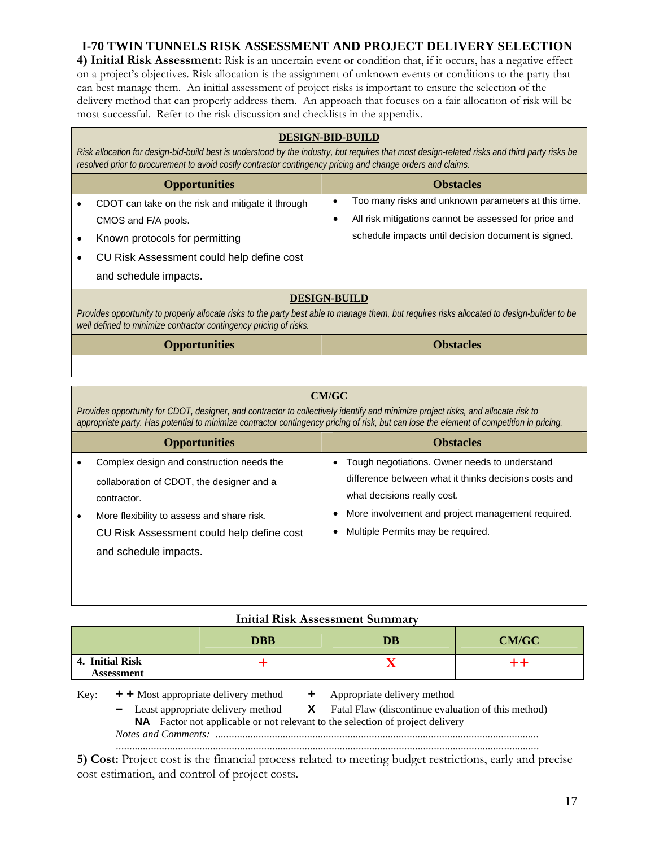**4) Initial Risk Assessment:** Risk is an uncertain event or condition that, if it occurs, has a negative effect on a project's objectives. Risk allocation is the assignment of unknown events or conditions to the party that can best manage them. An initial assessment of project risks is important to ensure the selection of the delivery method that can properly address them. An approach that focuses on a fair allocation of risk will be most successful. Refer to the risk discussion and checklists in the appendix.

#### **DESIGN-BID-BUILD**

*Risk allocation for design-bid-build best is understood by the industry, but requires that most design-related risks and third party risks be resolved prior to procurement to avoid costly contractor contingency pricing and change orders and claims.*

| <b>Opportunities</b>                                                                                                                                                                                             |           | <b>Obstacles</b>                                      |
|------------------------------------------------------------------------------------------------------------------------------------------------------------------------------------------------------------------|-----------|-------------------------------------------------------|
| CDOT can take on the risk and mitigate it through                                                                                                                                                                | $\bullet$ | Too many risks and unknown parameters at this time.   |
| CMOS and F/A pools.                                                                                                                                                                                              | ٠         | All risk mitigations cannot be assessed for price and |
| Known protocols for permitting                                                                                                                                                                                   |           | schedule impacts until decision document is signed.   |
| CU Risk Assessment could help define cost                                                                                                                                                                        |           |                                                       |
| and schedule impacts.                                                                                                                                                                                            |           |                                                       |
| <b>DESIGN-BUILD</b>                                                                                                                                                                                              |           |                                                       |
| Provides opportunity to properly allocate risks to the party best able to manage them, but requires risks allocated to design-builder to be<br>well defined to minimize contractor contingency pricing of risks. |           |                                                       |
| <b>Opportunities</b>                                                                                                                                                                                             |           | Obstacles)                                            |

# **CM/GC**

*Provides opportunity for CDOT, designer, and contractor to collectively identify and minimize project risks, and allocate risk to appropriate party. Has potential to minimize contractor contingency pricing of risk, but can lose the element of competition in pricing.*

| <b>Opportunities</b>                       |           | <b>Obstacles</b>                                      |
|--------------------------------------------|-----------|-------------------------------------------------------|
| Complex design and construction needs the  | $\bullet$ | Tough negotiations. Owner needs to understand         |
| collaboration of CDOT, the designer and a  |           | difference between what it thinks decisions costs and |
| contractor.                                |           | what decisions really cost.                           |
| More flexibility to assess and share risk. |           | More involvement and project management required.     |
| CU Risk Assessment could help define cost  | $\bullet$ | Multiple Permits may be required.                     |
| and schedule impacts.                      |           |                                                       |
|                                            |           |                                                       |
|                                            |           |                                                       |
|                                            |           |                                                       |

| <b>DBB</b> |                                      | <b>Initial Risk Assessment Summary</b><br>DB     | <b>CM/GC</b>                                                                                                                                                                                                           |  |
|------------|--------------------------------------|--------------------------------------------------|------------------------------------------------------------------------------------------------------------------------------------------------------------------------------------------------------------------------|--|
|            | 4. Initial Risk<br><b>Assessment</b> |                                                  |                                                                                                                                                                                                                        |  |
| Key:       | Notes and Comments:                  | $\div$ + Most appropriate delivery method $\div$ | Appropriate delivery method<br>- Least appropriate delivery method <b>X</b> Fatal Flaw (discontinue evaluation of this method)<br><b>NA</b> Factor not applicable or not relevant to the selection of project delivery |  |

**5) Cost:** Project cost is the financial process related to meeting budget restrictions, early and precise cost estimation, and control of project costs.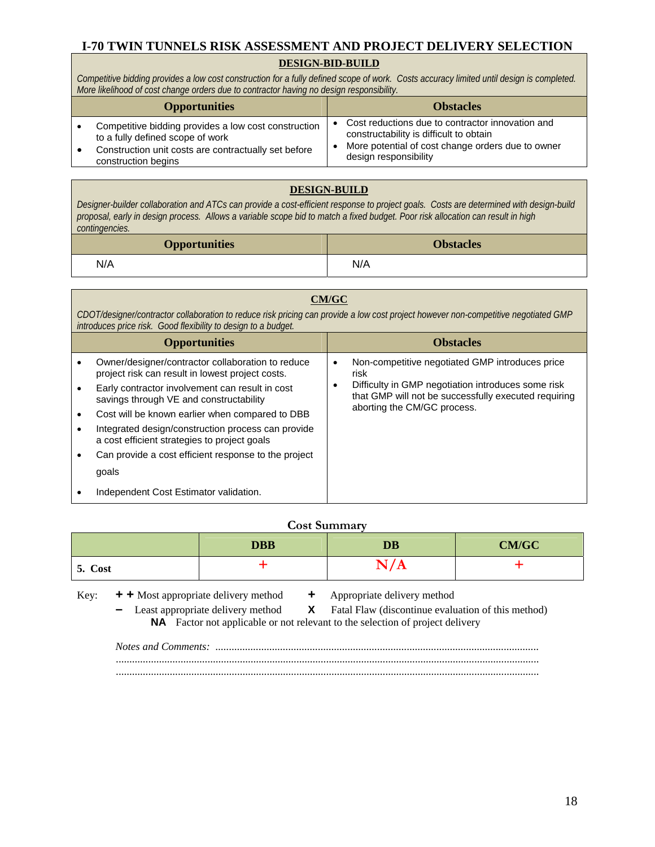#### **DESIGN-BID-BUILD**

*Competitive bidding provides a low cost construction for a fully defined scope of work. Costs accuracy limited until design is completed. More likelihood of cost change orders due to contractor having no design responsibility.*

| <b>Opportunities</b>                                                                     |                                                                            | <b>Obstacles</b>                                                                            |
|------------------------------------------------------------------------------------------|----------------------------------------------------------------------------|---------------------------------------------------------------------------------------------|
| Competitive bidding provides a low cost construction<br>to a fully defined scope of work |                                                                            | Cost reductions due to contractor innovation and<br>constructability is difficult to obtain |
| Construction unit costs are contractually set before<br>construction begins              | More potential of cost change orders due to owner<br>design responsibility |                                                                                             |

#### **DESIGN-BUILD**

*Designer-builder collaboration and ATCs can provide a cost-efficient response to project goals. Costs are determined with design-build proposal, early in design process. Allows a variable scope bid to match a fixed budget. Poor risk allocation can result in high contingencies.*

| <b>Opportunities</b> | <b>Obstacles</b> |
|----------------------|------------------|
| N/A                  | N/A              |

#### **CM/GC**

*CDOT/designer/contractor collaboration to reduce risk pricing can provide a low cost project however non-competitive negotiated GMP introduces price risk. Good flexibility to design to a budget.*

| <b>Opportunities</b>                                                                                  | <b>Obstacles</b>                                                                                                                          |
|-------------------------------------------------------------------------------------------------------|-------------------------------------------------------------------------------------------------------------------------------------------|
| Owner/designer/contractor collaboration to reduce<br>project risk can result in lowest project costs. | Non-competitive negotiated GMP introduces price<br>risk                                                                                   |
| Early contractor involvement can result in cost<br>savings through VE and constructability            | Difficulty in GMP negotiation introduces some risk<br>that GMP will not be successfully executed requiring<br>aborting the CM/GC process. |
| Cost will be known earlier when compared to DBB                                                       |                                                                                                                                           |
| Integrated design/construction process can provide<br>a cost efficient strategies to project goals    |                                                                                                                                           |
| Can provide a cost efficient response to the project                                                  |                                                                                                                                           |
| goals                                                                                                 |                                                                                                                                           |
| Independent Cost Estimator validation.                                                                |                                                                                                                                           |

#### **Cost Summary**

|         | <b>DBB</b> | <b>DB</b>    | <b>CM/GC</b> |
|---------|------------|--------------|--------------|
| 5. Cost |            | $\mathbf{u}$ |              |

Key: **+ +** Most appropriate delivery method **+** Appropriate delivery method

**–** Least appropriate delivery method **X** Fatal Flaw (discontinue evaluation of this method) **NA** Factor not applicable or not relevant to the selection of project delivery

*Notes and Comments: ........................................................................................................................*  ............................................................................................................................................................. .............................................................................................................................................................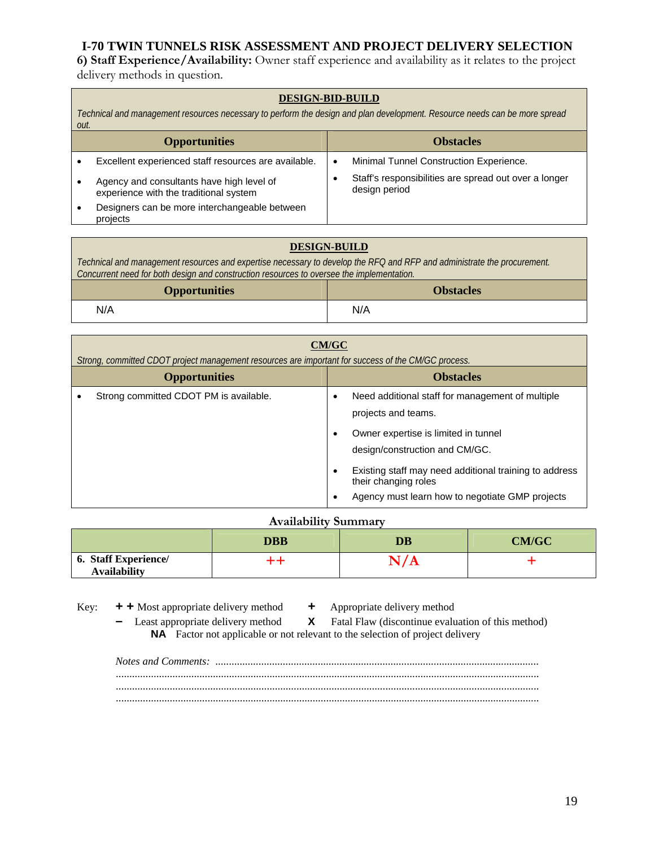**6) Staff Experience/Availability:** Owner staff experience and availability as it relates to the project delivery methods in question.

#### **DESIGN-BID-BUILD**

*Technical and management resources necessary to perform the design and plan development. Resource needs can be more spread out.*

| <b>Opportunities</b>                                                                |           | <b>Obstacles</b>                                                       |
|-------------------------------------------------------------------------------------|-----------|------------------------------------------------------------------------|
| Excellent experienced staff resources are available.                                | $\bullet$ | Minimal Tunnel Construction Experience.                                |
| Agency and consultants have high level of<br>experience with the traditional system |           | Staff's responsibilities are spread out over a longer<br>design period |
| Designers can be more interchangeable between<br>projects                           |           |                                                                        |

#### **DESIGN-BUILD**

*Technical and management resources and expertise necessary to develop the RFQ and RFP and administrate the procurement. Concurrent need for both design and construction resources to oversee the implementation.*

| <b>Opportunities</b> | <b>Obstacles</b> |
|----------------------|------------------|
| N/A                  | N/A              |

| <b>CM/GC</b><br>Strong, committed CDOT project management resources are important for success of the CM/GC process. |                                                                                                                                                                                                                                                                                        |  |
|---------------------------------------------------------------------------------------------------------------------|----------------------------------------------------------------------------------------------------------------------------------------------------------------------------------------------------------------------------------------------------------------------------------------|--|
| <b>Opportunities</b>                                                                                                | <b>Obstacles</b>                                                                                                                                                                                                                                                                       |  |
| Strong committed CDOT PM is available.                                                                              | Need additional staff for management of multiple<br>projects and teams.<br>Owner expertise is limited in tunnel<br>design/construction and CM/GC.<br>Existing staff may need additional training to address<br>their changing roles<br>Agency must learn how to negotiate GMP projects |  |

#### **Availability Summary**

|                                                    | <b>DBB</b> | DB | <b>CM/GC</b> |
|----------------------------------------------------|------------|----|--------------|
| <b>6. Staff Experience/</b><br><b>Availability</b> |            |    |              |

Key: **+ +** Most appropriate delivery method **+** Appropriate delivery method

**–** Least appropriate delivery method **X** Fatal Flaw (discontinue evaluation of this method) **NA** Factor not applicable or not relevant to the selection of project delivery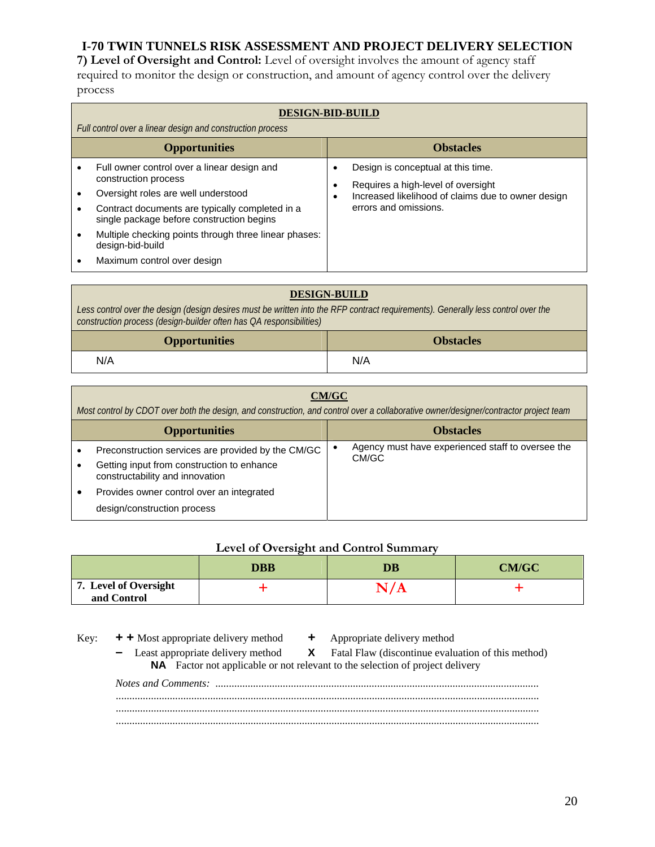**7) Level of Oversight and Control:** Level of oversight involves the amount of agency staff required to monitor the design or construction, and amount of agency control over the delivery process

| <b>DESIGN-BID-BUILD</b><br>Full control over a linear design and construction process                                                                                                                                                                                                                                  |                                                                                                                                                              |  |  |
|------------------------------------------------------------------------------------------------------------------------------------------------------------------------------------------------------------------------------------------------------------------------------------------------------------------------|--------------------------------------------------------------------------------------------------------------------------------------------------------------|--|--|
| <b>Opportunities</b>                                                                                                                                                                                                                                                                                                   | <b>Obstacles</b>                                                                                                                                             |  |  |
| Full owner control over a linear design and<br>construction process<br>Oversight roles are well understood<br>Contract documents are typically completed in a<br>single package before construction begins<br>Multiple checking points through three linear phases:<br>design-bid-build<br>Maximum control over design | Design is conceptual at this time.<br>Requires a high-level of oversight<br>٠<br>Increased likelihood of claims due to owner design<br>errors and omissions. |  |  |

| <b>DESIGN-BUILD</b>                                                                                                                                                                                      |     |  |
|----------------------------------------------------------------------------------------------------------------------------------------------------------------------------------------------------------|-----|--|
| Less control over the design (design desires must be written into the RFP contract requirements). Generally less control over the<br>construction process (design-builder often has QA responsibilities) |     |  |
| <b>Opportunities</b><br><b>Obstacles</b>                                                                                                                                                                 |     |  |
| N/A                                                                                                                                                                                                      | N/A |  |

| CM/GC<br>Most control by CDOT over both the design, and construction, and control over a collaborative owner/designer/contractor project team |  |                                                            |  |
|-----------------------------------------------------------------------------------------------------------------------------------------------|--|------------------------------------------------------------|--|
| <b>Opportunities</b>                                                                                                                          |  | <b>Obstacles</b>                                           |  |
| Preconstruction services are provided by the CM/GC<br>Getting input from construction to enhance<br>constructability and innovation           |  | Agency must have experienced staff to oversee the<br>CM/GC |  |
| Provides owner control over an integrated<br>design/construction process                                                                      |  |                                                            |  |

#### **Level of Oversight and Control Summary**

|                                      | <b>DBB</b> | DB  | <b>CM/GC</b> |
|--------------------------------------|------------|-----|--------------|
| 7. Level of Oversight<br>and Control |            | N/A |              |

- Key: **+ +** Most appropriate delivery method **+** Appropriate delivery method
- - Least appropriate delivery method **X** Fatal Flaw (discontinue evaluation of this method) **NA** Factor not applicable or not relevant to the selection of project delivery *Notes and Comments: ........................................................................................................................*  ............................................................................................................................................................. ............................................................................................................................................................. .............................................................................................................................................................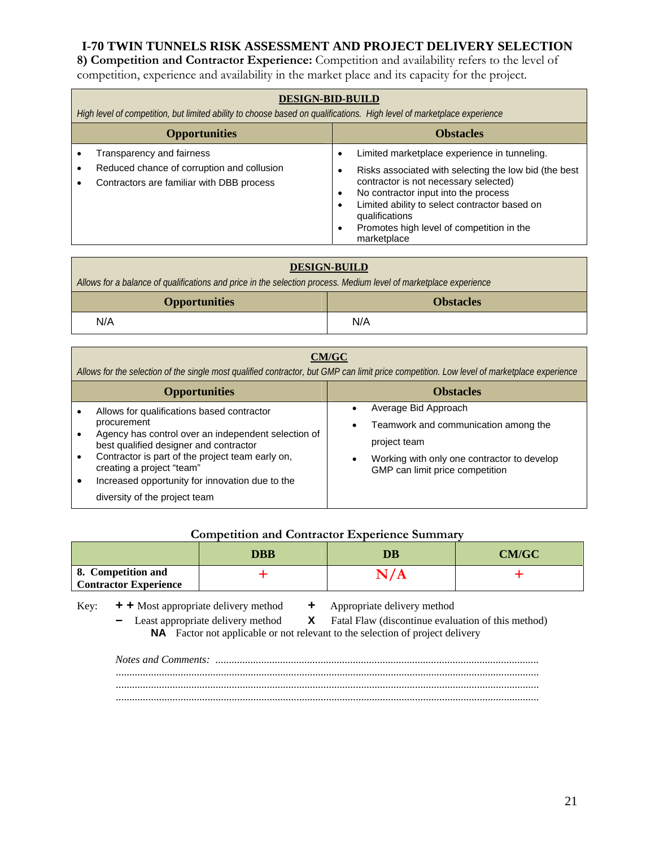**8) Competition and Contractor Experience:** Competition and availability refers to the level of competition, experience and availability in the market place and its capacity for the project.

| <b>DESIGN-BID-BUILD</b><br>High level of competition, but limited ability to choose based on qualifications. High level of marketplace experience |                                                                                                                                                                                                                                                                                                                       |  |  |
|---------------------------------------------------------------------------------------------------------------------------------------------------|-----------------------------------------------------------------------------------------------------------------------------------------------------------------------------------------------------------------------------------------------------------------------------------------------------------------------|--|--|
| <b>Opportunities</b><br><b>Obstacles</b>                                                                                                          |                                                                                                                                                                                                                                                                                                                       |  |  |
| Transparency and fairness<br>Reduced chance of corruption and collusion<br>Contractors are familiar with DBB process                              | Limited marketplace experience in tunneling.<br>Risks associated with selecting the low bid (the best<br>contractor is not necessary selected)<br>No contractor input into the process<br>Limited ability to select contractor based on<br>qualifications<br>Promotes high level of competition in the<br>marketplace |  |  |

| <b>DESIGN-BUILD</b><br>Allows for a balance of qualifications and price in the selection process. Medium level of marketplace experience |     |  |
|------------------------------------------------------------------------------------------------------------------------------------------|-----|--|
| <b>Opportunities</b><br><b>Obstacles</b>                                                                                                 |     |  |
| N/A                                                                                                                                      | N/A |  |

|                                                                                               | CM/GC<br>Allows for the selection of the single most qualified contractor, but GMP can limit price competition. Low level of marketplace experience |                                                                                |  |  |
|-----------------------------------------------------------------------------------------------|-----------------------------------------------------------------------------------------------------------------------------------------------------|--------------------------------------------------------------------------------|--|--|
| <b>Opportunities</b>                                                                          |                                                                                                                                                     | <b>Obstacles</b>                                                               |  |  |
|                                                                                               | Allows for qualifications based contractor<br>procurement                                                                                           | Average Bid Approach                                                           |  |  |
| Agency has control over an independent selection of<br>best qualified designer and contractor | Teamwork and communication among the<br>$\bullet$<br>project team                                                                                   |                                                                                |  |  |
|                                                                                               | Contractor is part of the project team early on,<br>creating a project "team"                                                                       | Working with only one contractor to develop<br>GMP can limit price competition |  |  |
|                                                                                               | Increased opportunity for innovation due to the<br>diversity of the project team                                                                    |                                                                                |  |  |

#### **Competition and Contractor Experience Summary**

|                                                    | <b>DBB</b> | DB | <b>CM/GC</b> |
|----------------------------------------------------|------------|----|--------------|
| 8. Competition and<br><b>Contractor Experience</b> |            |    |              |

Key: **+ +** Most appropriate delivery method **+** Appropriate delivery method

**–** Least appropriate delivery method **X** Fatal Flaw (discontinue evaluation of this method) **NA** Factor not applicable or not relevant to the selection of project delivery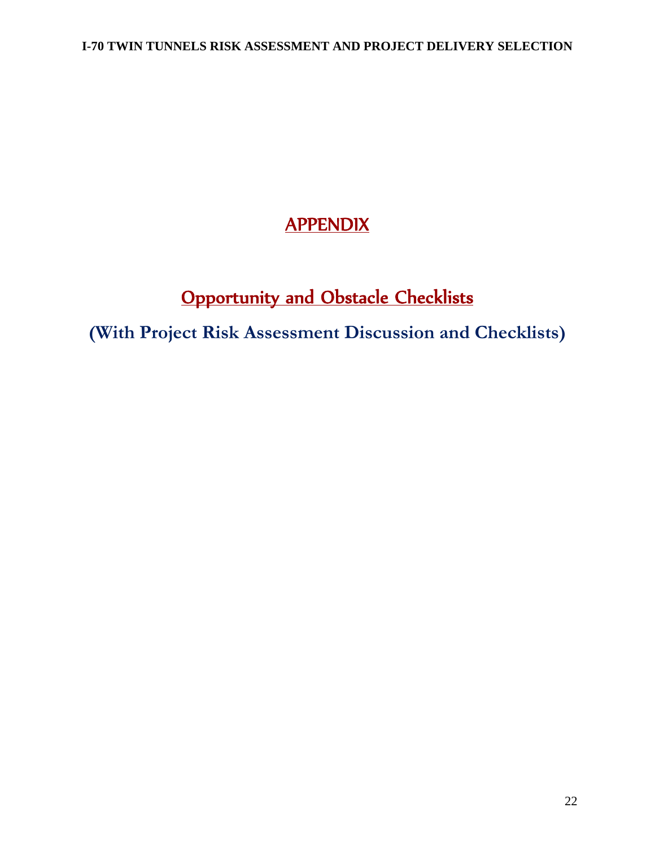# **APPENDIX**

# **Opportunity and Obstacle Checklists**

**(With Project Risk Assessment Discussion and Checklists)**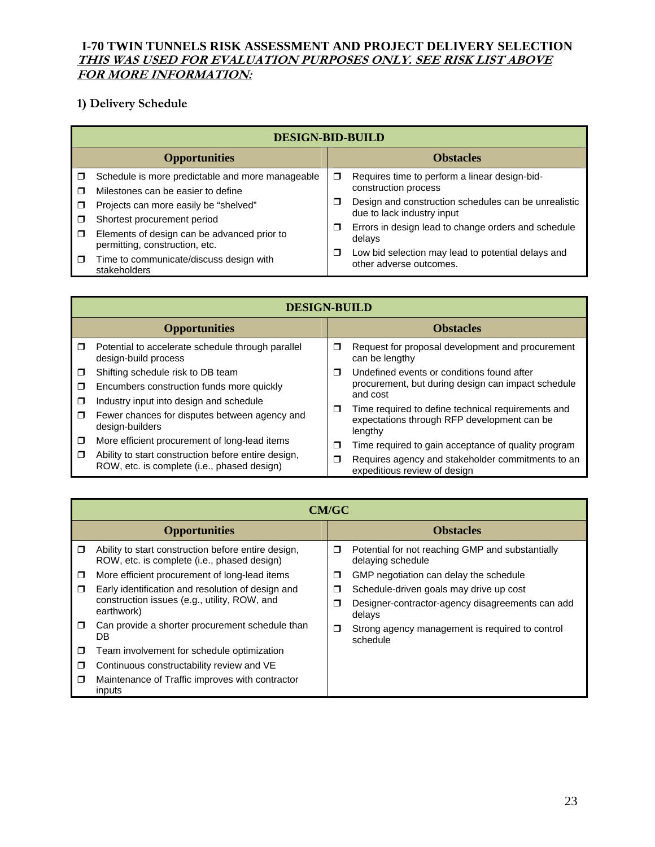### **I-70 TWIN TUNNELS RISK ASSESSMENT AND PROJECT DELIVERY SELECTION THIS WAS USED FOR EVALUATION PURPOSES ONLY. SEE RISK LIST ABOVE FOR MORE INFORMATION:**

# **1) Delivery Schedule**

|        | <b>DESIGN-BID-BUILD</b>                                                       |                  |                                                                               |  |
|--------|-------------------------------------------------------------------------------|------------------|-------------------------------------------------------------------------------|--|
|        | <b>Opportunities</b>                                                          | <b>Obstacles</b> |                                                                               |  |
| ⊓      | Schedule is more predictable and more manageable                              | σ                | Requires time to perform a linear design-bid-                                 |  |
| П      | Milestones can be easier to define                                            |                  | construction process                                                          |  |
| □      | Projects can more easily be "shelved"                                         | □                | Design and construction schedules can be unrealistic                          |  |
| П      | Shortest procurement period                                                   |                  | due to lack industry input                                                    |  |
| $\Box$ | Elements of design can be advanced prior to<br>permitting, construction, etc. | Ω                | Errors in design lead to change orders and schedule<br>delays                 |  |
| $\Box$ | Time to communicate/discuss design with<br>stakeholders                       | □                | Low bid selection may lead to potential delays and<br>other adverse outcomes. |  |

|                      | <b>DESIGN-BUILD</b>                                                                                |             |                                                                                                              |  |
|----------------------|----------------------------------------------------------------------------------------------------|-------------|--------------------------------------------------------------------------------------------------------------|--|
| <b>Opportunities</b> |                                                                                                    |             | <b>Obstacles</b>                                                                                             |  |
| $\Box$               | Potential to accelerate schedule through parallel<br>design-build process                          | $\Box$      | Request for proposal development and procurement<br>can be lengthy                                           |  |
| π                    | Shifting schedule risk to DB team                                                                  | $\Box$<br>◘ | Undefined events or conditions found after                                                                   |  |
| π                    | Encumbers construction funds more quickly                                                          |             | procurement, but during design can impact schedule                                                           |  |
| ⊓                    | Industry input into design and schedule                                                            |             | and cost                                                                                                     |  |
| π                    | Fewer chances for disputes between agency and<br>design-builders                                   |             | Time required to define technical requirements and<br>expectations through RFP development can be<br>lengthy |  |
| ◘                    | More efficient procurement of long-lead items                                                      | □           | Time required to gain acceptance of quality program                                                          |  |
| $\Box$               | Ability to start construction before entire design,<br>ROW, etc. is complete (i.e., phased design) | Ω           | Requires agency and stakeholder commitments to an<br>expeditious review of design                            |  |

|                      | <b>CM/GC</b>                                                                                       |   |                                                                       |  |  |
|----------------------|----------------------------------------------------------------------------------------------------|---|-----------------------------------------------------------------------|--|--|
| <b>Opportunities</b> |                                                                                                    |   | <b>Obstacles</b>                                                      |  |  |
| $\Box$               | Ability to start construction before entire design,<br>ROW, etc. is complete (i.e., phased design) | σ | Potential for not reaching GMP and substantially<br>delaying schedule |  |  |
| $\Box$               | More efficient procurement of long-lead items                                                      | ◘ | GMP negotiation can delay the schedule                                |  |  |
| □                    | Early identification and resolution of design and                                                  | Π | Schedule-driven goals may drive up cost                               |  |  |
|                      | construction issues (e.g., utility, ROW, and<br>earthwork)                                         | П | Designer-contractor-agency disagreements can add<br>delays            |  |  |
| $\Box$               | Can provide a shorter procurement schedule than<br>DB                                              | □ | Strong agency management is required to control<br>schedule           |  |  |
| $\Box$               | Team involvement for schedule optimization                                                         |   |                                                                       |  |  |
| $\Box$               | Continuous constructability review and VE                                                          |   |                                                                       |  |  |
| $\Box$               | Maintenance of Traffic improves with contractor<br>inputs                                          |   |                                                                       |  |  |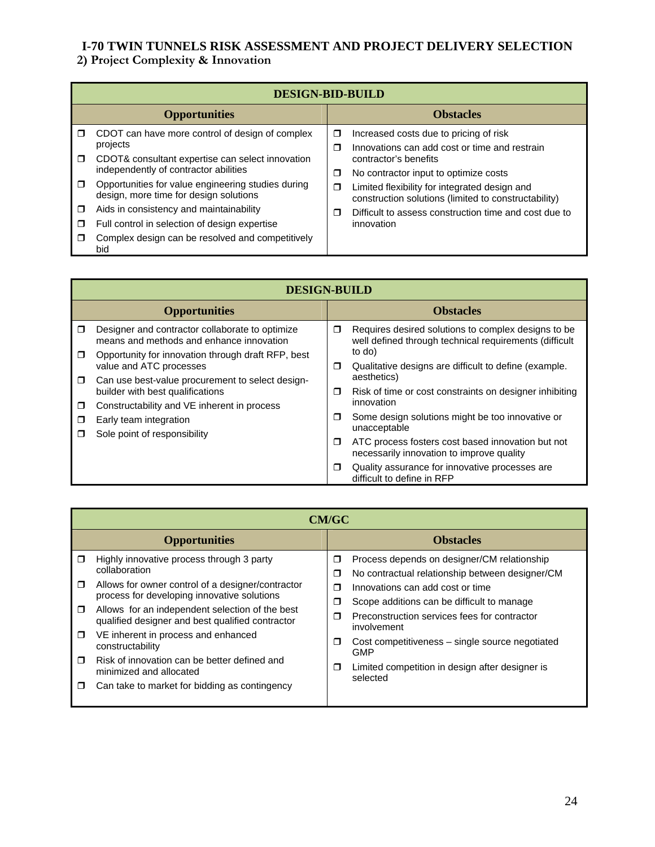# **2) Project Complexity & Innovation**

|        | <b>DESIGN-BID-BUILD</b>                                                                      |                                                                               |                                                                                                       |  |
|--------|----------------------------------------------------------------------------------------------|-------------------------------------------------------------------------------|-------------------------------------------------------------------------------------------------------|--|
|        | <b>Opportunities</b>                                                                         |                                                                               | <b>Obstacles</b>                                                                                      |  |
| $\Box$ | CDOT can have more control of design of complex                                              | σ                                                                             | Increased costs due to pricing of risk                                                                |  |
|        | projects                                                                                     | π<br>contractor's benefits<br>No contractor input to optimize costs<br>σ<br>σ | Innovations can add cost or time and restrain                                                         |  |
| $\Box$ | CDOT& consultant expertise can select innovation                                             |                                                                               |                                                                                                       |  |
|        | independently of contractor abilities                                                        |                                                                               |                                                                                                       |  |
| $\Box$ | Opportunities for value engineering studies during<br>design, more time for design solutions |                                                                               | Limited flexibility for integrated design and<br>construction solutions (limited to constructability) |  |
| □      | Aids in consistency and maintainability                                                      | ⊓                                                                             | Difficult to assess construction time and cost due to                                                 |  |
| □      | Full control in selection of design expertise                                                |                                                                               | innovation                                                                                            |  |
| ⊓      | Complex design can be resolved and competitively<br>bid                                      |                                                                               |                                                                                                       |  |

|                      | <b>DESIGN-BUILD</b>                                                                         |        |                                                                                                               |  |  |
|----------------------|---------------------------------------------------------------------------------------------|--------|---------------------------------------------------------------------------------------------------------------|--|--|
| <b>Opportunities</b> |                                                                                             |        | <b>Obstacles</b>                                                                                              |  |  |
| $\Box$               | Designer and contractor collaborate to optimize<br>means and methods and enhance innovation | $\Box$ | Requires desired solutions to complex designs to be<br>well defined through technical requirements (difficult |  |  |
| $\Box$               | Opportunity for innovation through draft RFP, best<br>value and ATC processes               | $\Box$ | to do)<br>Qualitative designs are difficult to define (example.                                               |  |  |
| $\Box$               | Can use best-value procurement to select design-<br>builder with best qualifications        | π      | aesthetics)<br>Risk of time or cost constraints on designer inhibiting                                        |  |  |
| $\Box$<br>◘          | Constructability and VE inherent in process<br>Early team integration                       | $\Box$ | innovation<br>Some design solutions might be too innovative or<br>unacceptable                                |  |  |
| ⊓                    | Sole point of responsibility                                                                | □      | ATC process fosters cost based innovation but not<br>necessarily innovation to improve quality                |  |  |
|                      |                                                                                             | □      | Quality assurance for innovative processes are<br>difficult to define in RFP                                  |  |  |

|                               | <b>CM/GC</b>                                                                                                                                                                                                                                                          |                                      |                                                                                                                                                                                                                                  |  |  |
|-------------------------------|-----------------------------------------------------------------------------------------------------------------------------------------------------------------------------------------------------------------------------------------------------------------------|--------------------------------------|----------------------------------------------------------------------------------------------------------------------------------------------------------------------------------------------------------------------------------|--|--|
| <b>Opportunities</b>          |                                                                                                                                                                                                                                                                       |                                      | <b>Obstacles</b>                                                                                                                                                                                                                 |  |  |
| $\Box$<br>$\Box$<br>$\Box$    | Highly innovative process through 3 party<br>collaboration<br>Allows for owner control of a designer/contractor<br>process for developing innovative solutions<br>Allows for an independent selection of the best<br>qualified designer and best qualified contractor | $\Box$<br>$\Box$<br>$\Box$<br>Ω<br>⊓ | Process depends on designer/CM relationship<br>No contractual relationship between designer/CM<br>Innovations can add cost or time<br>Scope additions can be difficult to manage<br>Preconstruction services fees for contractor |  |  |
| $\Box$<br>$\blacksquare$<br>□ | VE inherent in process and enhanced<br>constructability<br>Risk of innovation can be better defined and<br>minimized and allocated<br>Can take to market for bidding as contingency                                                                                   | $\Box$<br>$\Box$                     | involvement<br>Cost competitiveness – single source negotiated<br>GMP<br>Limited competition in design after designer is<br>selected                                                                                             |  |  |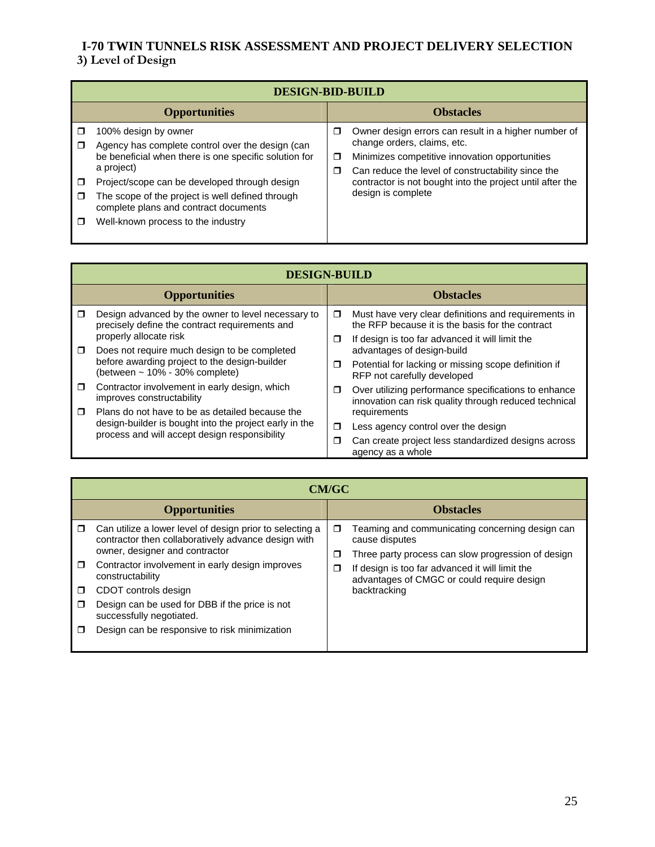# **I-70 TWIN TUNNELS RISK ASSESSMENT AND PROJECT DELIVERY SELECTION 3) Level of Design**

|   | <b>DESIGN-BID-BUILD</b>                                                                                                                                                                                                                                                                                                             |             |                                                                                                                                                                                                                                                                                |  |  |
|---|-------------------------------------------------------------------------------------------------------------------------------------------------------------------------------------------------------------------------------------------------------------------------------------------------------------------------------------|-------------|--------------------------------------------------------------------------------------------------------------------------------------------------------------------------------------------------------------------------------------------------------------------------------|--|--|
|   | <b>Opportunities</b>                                                                                                                                                                                                                                                                                                                |             | <b>Obstacles</b>                                                                                                                                                                                                                                                               |  |  |
| □ | 100% design by owner<br>Agency has complete control over the design (can<br>be beneficial when there is one specific solution for<br>a project)<br>Project/scope can be developed through design<br>The scope of the project is well defined through<br>complete plans and contract documents<br>Well-known process to the industry | □<br>σ<br>σ | Owner design errors can result in a higher number of<br>change orders, claims, etc.<br>Minimizes competitive innovation opportunities<br>Can reduce the level of constructability since the<br>contractor is not bought into the project until after the<br>design is complete |  |  |

|        | <b>DESIGN-BUILD</b>                                                                                     |   |                                                                                                               |  |
|--------|---------------------------------------------------------------------------------------------------------|---|---------------------------------------------------------------------------------------------------------------|--|
|        | <b>Opportunities</b>                                                                                    |   | <b>Obstacles</b>                                                                                              |  |
| ⊓      | Design advanced by the owner to level necessary to<br>precisely define the contract requirements and    | σ | Must have very clear definitions and requirements in<br>the RFP because it is the basis for the contract      |  |
| $\Box$ | properly allocate risk<br>Does not require much design to be completed                                  | □ | If design is too far advanced it will limit the<br>advantages of design-build                                 |  |
|        | before awarding project to the design-builder<br>(between $\sim$ 10% - 30% complete)                    | □ | Potential for lacking or missing scope definition if<br>RFP not carefully developed                           |  |
| σ.     | Contractor involvement in early design, which<br>improves constructability                              | ◘ | Over utilizing performance specifications to enhance<br>innovation can risk quality through reduced technical |  |
| $\Box$ | Plans do not have to be as detailed because the                                                         |   | requirements                                                                                                  |  |
|        | design-builder is bought into the project early in the<br>process and will accept design responsibility | π | Less agency control over the design                                                                           |  |
|        |                                                                                                         | π | Can create project less standardized designs across<br>agency as a whole                                      |  |

|             | <b>CM/GC</b>                                                                                                                                      |             |                                                                                                                         |  |  |
|-------------|---------------------------------------------------------------------------------------------------------------------------------------------------|-------------|-------------------------------------------------------------------------------------------------------------------------|--|--|
|             | <b>Opportunities</b>                                                                                                                              |             | <b>Obstacles</b>                                                                                                        |  |  |
| $\Box$      | Can utilize a lower level of design prior to selecting a<br>contractor then collaboratively advance design with<br>owner, designer and contractor | $\Box$<br>□ | Teaming and communicating concerning design can<br>cause disputes<br>Three party process can slow progression of design |  |  |
| $\Box$      | Contractor involvement in early design improves<br>constructability                                                                               | □           | If design is too far advanced it will limit the<br>advantages of CMGC or could require design                           |  |  |
| $\Box$<br>□ | CDOT controls design<br>Design can be used for DBB if the price is not<br>successfully negotiated.                                                |             | backtracking                                                                                                            |  |  |
| J           | Design can be responsive to risk minimization                                                                                                     |             |                                                                                                                         |  |  |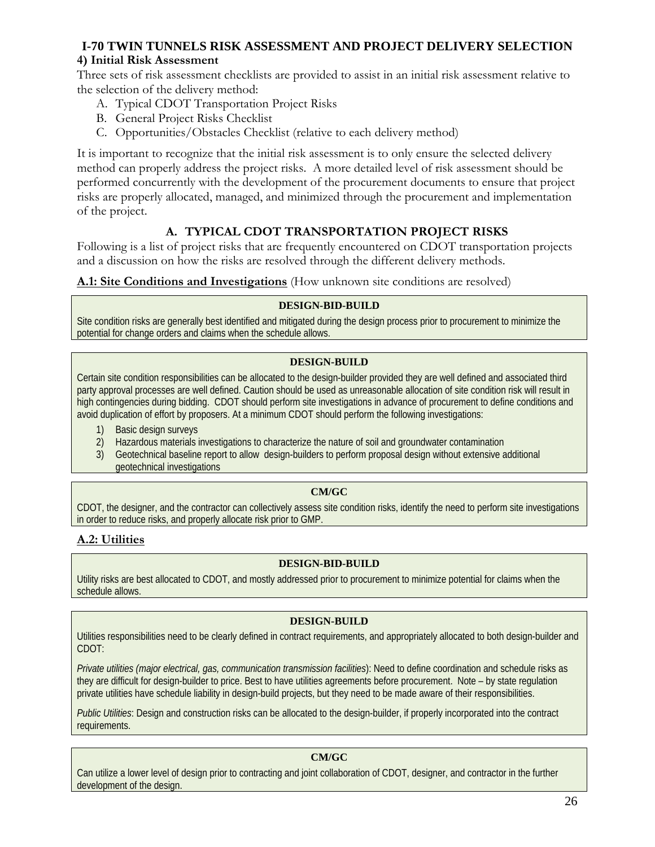#### **4) Initial Risk Assessment**

Three sets of risk assessment checklists are provided to assist in an initial risk assessment relative to the selection of the delivery method:

- A. Typical CDOT Transportation Project Risks
- B. General Project Risks Checklist
- C. Opportunities/Obstacles Checklist (relative to each delivery method)

It is important to recognize that the initial risk assessment is to only ensure the selected delivery method can properly address the project risks. A more detailed level of risk assessment should be performed concurrently with the development of the procurement documents to ensure that project risks are properly allocated, managed, and minimized through the procurement and implementation of the project.

# **A. TYPICAL CDOT TRANSPORTATION PROJECT RISKS**

Following is a list of project risks that are frequently encountered on CDOT transportation projects and a discussion on how the risks are resolved through the different delivery methods.

#### **A.1: Site Conditions and Investigations** (How unknown site conditions are resolved)

#### **DESIGN-BID-BUILD**

Site condition risks are generally best identified and mitigated during the design process prior to procurement to minimize the potential for change orders and claims when the schedule allows.

#### **DESIGN-BUILD**

Certain site condition responsibilities can be allocated to the design-builder provided they are well defined and associated third party approval processes are well defined. Caution should be used as unreasonable allocation of site condition risk will result in high contingencies during bidding. CDOT should perform site investigations in advance of procurement to define conditions and avoid duplication of effort by proposers. At a minimum CDOT should perform the following investigations:

- 1) Basic design surveys
- 2) Hazardous materials investigations to characterize the nature of soil and groundwater contamination
- 3) Geotechnical baseline report to allow design-builders to perform proposal design without extensive additional geotechnical investigations

#### **CM/GC**

CDOT, the designer, and the contractor can collectively assess site condition risks, identify the need to perform site investigations in order to reduce risks, and properly allocate risk prior to GMP.

# **A.2: Utilities**

#### **DESIGN-BID-BUILD**

Utility risks are best allocated to CDOT, and mostly addressed prior to procurement to minimize potential for claims when the schedule allows.

#### **DESIGN-BUILD**

Utilities responsibilities need to be clearly defined in contract requirements, and appropriately allocated to both design-builder and CDOT:

*Private utilities (major electrical, gas, communication transmission facilities*): Need to define coordination and schedule risks as they are difficult for design-builder to price. Best to have utilities agreements before procurement. Note – by state regulation private utilities have schedule liability in design-build projects, but they need to be made aware of their responsibilities.

*Public Utilities*: Design and construction risks can be allocated to the design-builder, if properly incorporated into the contract requirements.

#### **CM/GC**

Can utilize a lower level of design prior to contracting and joint collaboration of CDOT, designer, and contractor in the further development of the design.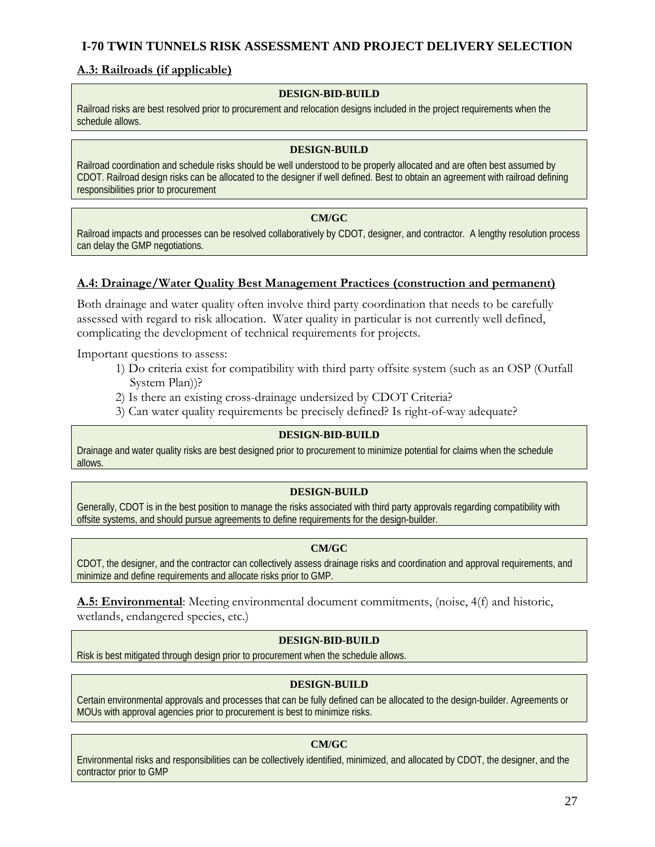### **A.3: Railroads (if applicable)**

#### **DESIGN-BID-BUILD**

Railroad risks are best resolved prior to procurement and relocation designs included in the project requirements when the schedule allows.

#### **DESIGN-BUILD**

Railroad coordination and schedule risks should be well understood to be properly allocated and are often best assumed by CDOT. Railroad design risks can be allocated to the designer if well defined. Best to obtain an agreement with railroad defining responsibilities prior to procurement

#### **CM/GC**

Railroad impacts and processes can be resolved collaboratively by CDOT, designer, and contractor. A lengthy resolution process can delay the GMP negotiations.

#### **A.4: Drainage/Water Quality Best Management Practices (construction and permanent)**

Both drainage and water quality often involve third party coordination that needs to be carefully assessed with regard to risk allocation. Water quality in particular is not currently well defined, complicating the development of technical requirements for projects.

Important questions to assess:

- 1) Do criteria exist for compatibility with third party offsite system (such as an OSP (Outfall System Plan))?
- 2) Is there an existing cross-drainage undersized by CDOT Criteria?
- 3) Can water quality requirements be precisely defined? Is right-of-way adequate?

#### **DESIGN-BID-BUILD**

Drainage and water quality risks are best designed prior to procurement to minimize potential for claims when the schedule allows.

#### **DESIGN-BUILD**

Generally, CDOT is in the best position to manage the risks associated with third party approvals regarding compatibility with offsite systems, and should pursue agreements to define requirements for the design-builder.

#### **CM/GC**

CDOT, the designer, and the contractor can collectively assess drainage risks and coordination and approval requirements, and minimize and define requirements and allocate risks prior to GMP.

**A.5: Environmental**: Meeting environmental document commitments, (noise, 4(f) and historic, wetlands, endangered species, etc.)

#### **DESIGN-BID-BUILD**

Risk is best mitigated through design prior to procurement when the schedule allows.

#### **DESIGN-BUILD**

Certain environmental approvals and processes that can be fully defined can be allocated to the design-builder. Agreements or MOUs with approval agencies prior to procurement is best to minimize risks.

#### **CM/GC**

Environmental risks and responsibilities can be collectively identified, minimized, and allocated by CDOT, the designer, and the contractor prior to GMP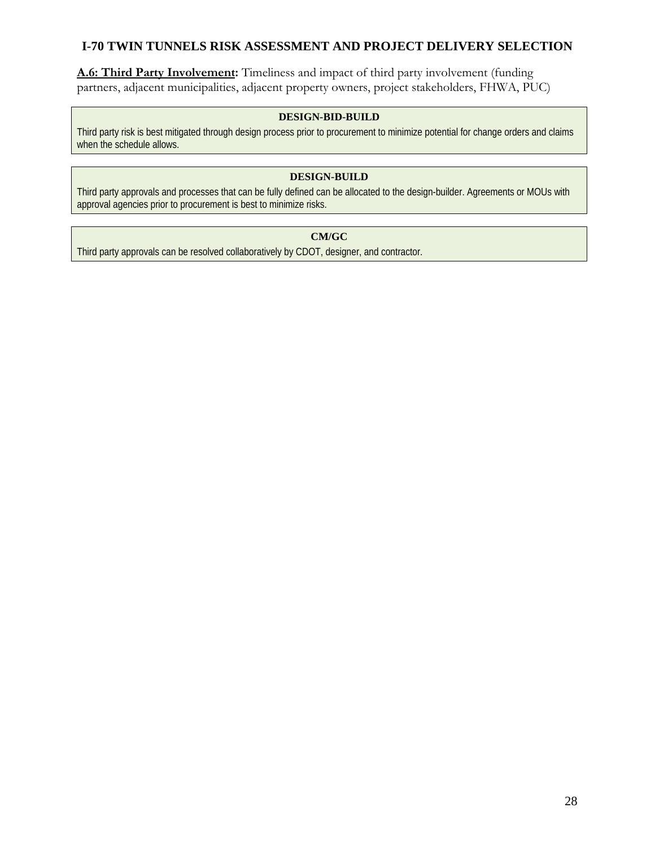**A.6: Third Party Involvement:** Timeliness and impact of third party involvement (funding partners, adjacent municipalities, adjacent property owners, project stakeholders, FHWA, PUC)

#### **DESIGN-BID-BUILD**

Third party risk is best mitigated through design process prior to procurement to minimize potential for change orders and claims when the schedule allows.

#### **DESIGN-BUILD**

Third party approvals and processes that can be fully defined can be allocated to the design-builder. Agreements or MOUs with approval agencies prior to procurement is best to minimize risks.

# **CM/GC**

Third party approvals can be resolved collaboratively by CDOT, designer, and contractor.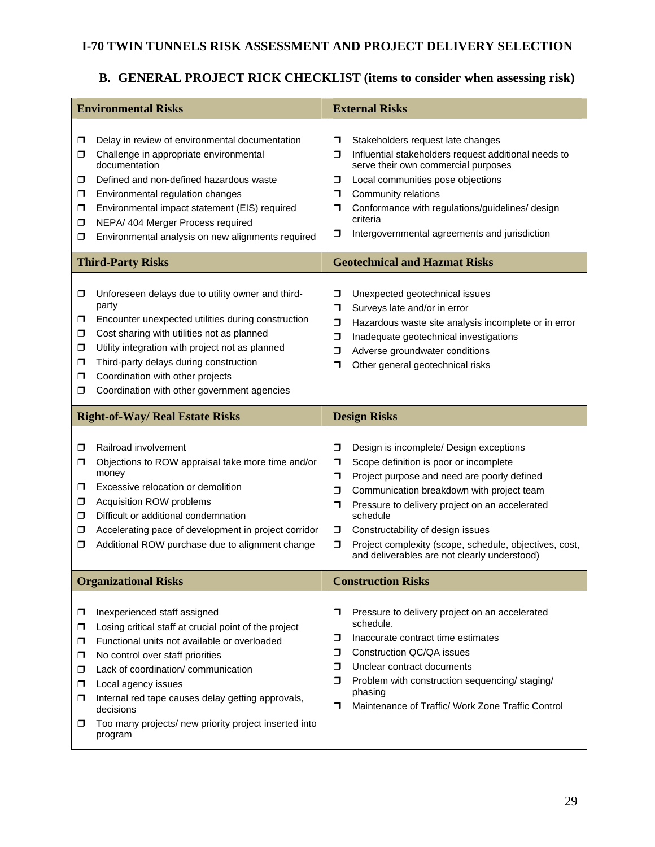# **B. GENERAL PROJECT RICK CHECKLIST (items to consider when assessing risk)**

|                                             | <b>Environmental Risks</b>                                                                                                                                                                                                                                                                                                                                                    | <b>External Risks</b>                                                                                                                                                                                                                                                                                                                                                                                                                   |  |  |
|---------------------------------------------|-------------------------------------------------------------------------------------------------------------------------------------------------------------------------------------------------------------------------------------------------------------------------------------------------------------------------------------------------------------------------------|-----------------------------------------------------------------------------------------------------------------------------------------------------------------------------------------------------------------------------------------------------------------------------------------------------------------------------------------------------------------------------------------------------------------------------------------|--|--|
| σ<br>□<br>□<br>σ.<br>σ.<br>σ.<br>◘          | Delay in review of environmental documentation<br>Challenge in appropriate environmental<br>documentation<br>Defined and non-defined hazardous waste<br>Environmental regulation changes<br>Environmental impact statement (EIS) required<br>NEPA/ 404 Merger Process required<br>Environmental analysis on new alignments required                                           | Stakeholders request late changes<br>σ<br>Influential stakeholders request additional needs to<br>Ω<br>serve their own commercial purposes<br>Local communities pose objections<br>□<br>Community relations<br>σ<br>Conformance with regulations/guidelines/ design<br>σ<br>criteria<br>Intergovernmental agreements and jurisdiction<br>σ                                                                                              |  |  |
|                                             | <b>Third-Party Risks</b>                                                                                                                                                                                                                                                                                                                                                      | <b>Geotechnical and Hazmat Risks</b>                                                                                                                                                                                                                                                                                                                                                                                                    |  |  |
| 0<br>□<br>σ.<br>0<br>σ.<br>σ.<br>σ.         | Unforeseen delays due to utility owner and third-<br>party<br>Encounter unexpected utilities during construction<br>Cost sharing with utilities not as planned<br>Utility integration with project not as planned<br>Third-party delays during construction<br>Coordination with other projects<br>Coordination with other government agencies                                | Unexpected geotechnical issues<br>σ<br>Surveys late and/or in error<br>σ<br>Hazardous waste site analysis incomplete or in error<br>σ<br>Inadequate geotechnical investigations<br>Ω<br>Adverse groundwater conditions<br>$\Box$<br>Other general geotechnical risks<br>⊓                                                                                                                                                               |  |  |
|                                             | <b>Right-of-Way/ Real Estate Risks</b>                                                                                                                                                                                                                                                                                                                                        | <b>Design Risks</b>                                                                                                                                                                                                                                                                                                                                                                                                                     |  |  |
| $\Box$<br>σ<br>$\Box$<br>σ.<br>π.<br>□<br>σ | Railroad involvement<br>Objections to ROW appraisal take more time and/or<br>money<br>Excessive relocation or demolition<br>Acquisition ROW problems<br>Difficult or additional condemnation<br>Accelerating pace of development in project corridor<br>Additional ROW purchase due to alignment change                                                                       | Design is incomplete/ Design exceptions<br>σ<br>Scope definition is poor or incomplete<br>σ<br>$\Box$<br>Project purpose and need are poorly defined<br>Communication breakdown with project team<br>σ<br>Pressure to delivery project on an accelerated<br>σ<br>schedule<br>Constructability of design issues<br>$\Box$<br>Project complexity (scope, schedule, objectives, cost,<br>σ<br>and deliverables are not clearly understood) |  |  |
|                                             | <b>Organizational Risks</b>                                                                                                                                                                                                                                                                                                                                                   | <b>Construction Risks</b>                                                                                                                                                                                                                                                                                                                                                                                                               |  |  |
| □<br>0<br>⊓<br>◘<br>σ.<br>□<br>□            | Inexperienced staff assigned<br>Losing critical staff at crucial point of the project<br>Functional units not available or overloaded<br>No control over staff priorities<br>Lack of coordination/ communication<br>Local agency issues<br>Internal red tape causes delay getting approvals,<br>decisions<br>Too many projects/ new priority project inserted into<br>program | Pressure to delivery project on an accelerated<br>σ<br>schedule.<br>Inaccurate contract time estimates<br>σ<br><b>Construction QC/QA issues</b><br>◘<br>Unclear contract documents<br>◘<br>Problem with construction sequencing/ staging/<br>σ<br>phasing<br>Maintenance of Traffic/ Work Zone Traffic Control<br>σ                                                                                                                     |  |  |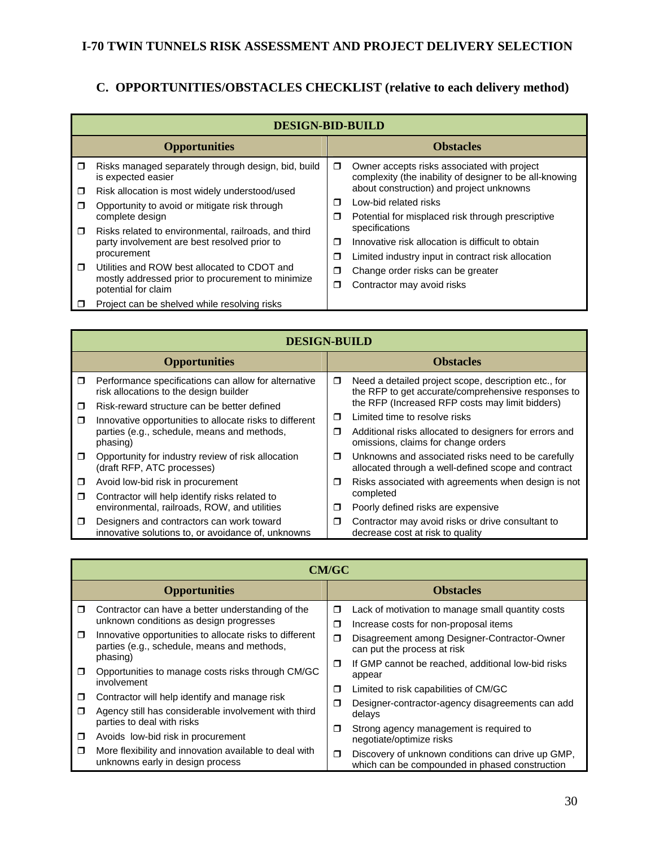# **C. OPPORTUNITIES/OBSTACLES CHECKLIST (relative to each delivery method)**

|                      | <b>DESIGN-BID-BUILD</b>                                                   |        |                                                                                                        |                |
|----------------------|---------------------------------------------------------------------------|--------|--------------------------------------------------------------------------------------------------------|----------------|
| <b>Opportunities</b> |                                                                           |        | <b>Obstacles</b>                                                                                       |                |
| $\Box$               | Risks managed separately through design, bid, build<br>is expected easier | $\Box$ | Owner accepts risks associated with project<br>complexity (the inability of designer to be all-knowing |                |
| ◘                    | Risk allocation is most widely understood/used                            |        | about construction) and project unknowns                                                               |                |
| $\Box$               | Opportunity to avoid or mitigate risk through                             | $\Box$ | Low-bid related risks                                                                                  |                |
|                      | complete design                                                           | σ      | Potential for misplaced risk through prescriptive                                                      |                |
| $\Box$               | Risks related to environmental, railroads, and third                      |        |                                                                                                        | specifications |
|                      | party involvement are best resolved prior to                              | $\Box$ | Innovative risk allocation is difficult to obtain                                                      |                |
|                      | procurement                                                               | σ      | Limited industry input in contract risk allocation                                                     |                |
| $\Box$               | Utilities and ROW best allocated to CDOT and                              | σ      | Change order risks can be greater                                                                      |                |
|                      | mostly addressed prior to procurement to minimize<br>potential for claim  | σ      | Contractor may avoid risks                                                                             |                |
| □                    | Project can be shelved while resolving risks                              |        |                                                                                                        |                |

|                      | <b>DESIGN-BUILD</b>                                                                             |        |                                                                                                            |  |  |
|----------------------|-------------------------------------------------------------------------------------------------|--------|------------------------------------------------------------------------------------------------------------|--|--|
| <b>Opportunities</b> |                                                                                                 |        | <b>Obstacles</b>                                                                                           |  |  |
| Ω                    | Performance specifications can allow for alternative<br>risk allocations to the design builder  | □      | Need a detailed project scope, description etc., for<br>the RFP to get accurate/comprehensive responses to |  |  |
| $\Box$               | Risk-reward structure can be better defined                                                     |        | the RFP (Increased RFP costs may limit bidders)                                                            |  |  |
| $\Box$               | Innovative opportunities to allocate risks to different                                         | Ω      | Limited time to resolve risks                                                                              |  |  |
|                      | parties (e.g., schedule, means and methods,<br>phasing)                                         | $\Box$ | Additional risks allocated to designers for errors and<br>omissions, claims for change orders              |  |  |
| $\Box$               | Opportunity for industry review of risk allocation<br>(draft RFP, ATC processes)                | σ      | Unknowns and associated risks need to be carefully<br>allocated through a well-defined scope and contract  |  |  |
| ◘                    | Avoid low-bid risk in procurement                                                               | □      | Risks associated with agreements when design is not                                                        |  |  |
| $\Box$               | Contractor will help identify risks related to                                                  |        | completed                                                                                                  |  |  |
|                      | environmental, railroads, ROW, and utilities                                                    | σ      | Poorly defined risks are expensive                                                                         |  |  |
| σ                    | Designers and contractors can work toward<br>innovative solutions to, or avoidance of, unknowns | ◘      | Contractor may avoid risks or drive consultant to<br>decrease cost at risk to quality                      |  |  |

|        | <b>CM/GC</b>                                                                                           |        |                                                                                                     |  |
|--------|--------------------------------------------------------------------------------------------------------|--------|-----------------------------------------------------------------------------------------------------|--|
|        | <b>Opportunities</b>                                                                                   |        | <b>Obstacles</b>                                                                                    |  |
| $\Box$ | Contractor can have a better understanding of the<br>unknown conditions as design progresses           | σ<br>σ | Lack of motivation to manage small quantity costs<br>Increase costs for non-proposal items          |  |
| $\Box$ | Innovative opportunities to allocate risks to different<br>parties (e.g., schedule, means and methods, | $\Box$ | Disagreement among Designer-Contractor-Owner<br>can put the process at risk                         |  |
| $\Box$ | phasing)<br>Opportunities to manage costs risks through CM/GC<br>involvement                           | $\Box$ | If GMP cannot be reached, additional low-bid risks<br>appear                                        |  |
| □      | Contractor will help identify and manage risk                                                          | Ω      | Limited to risk capabilities of CM/GC                                                               |  |
| ⊓      | Agency still has considerable involvement with third<br>parties to deal with risks                     | ◘<br>Ω | Designer-contractor-agency disagreements can add<br>delays                                          |  |
| $\Box$ | Avoids low-bid risk in procurement                                                                     |        | Strong agency management is required to<br>negotiate/optimize risks                                 |  |
| σ      | More flexibility and innovation available to deal with<br>unknowns early in design process             | $\Box$ | Discovery of unknown conditions can drive up GMP,<br>which can be compounded in phased construction |  |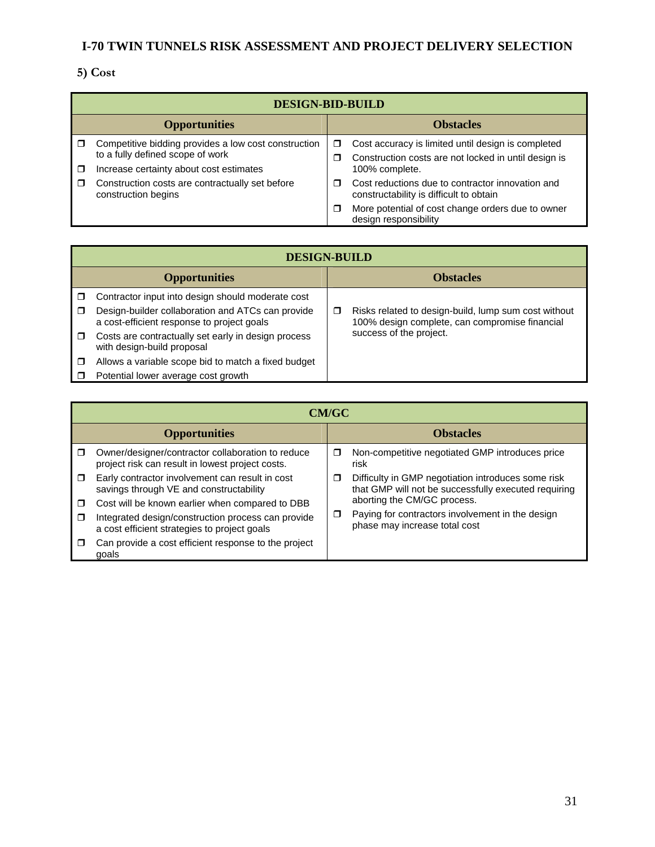# **5) Cost**

|                      | <b>DESIGN-BID-BUILD</b>                                                                                                             |        |                                                                                                                              |  |
|----------------------|-------------------------------------------------------------------------------------------------------------------------------------|--------|------------------------------------------------------------------------------------------------------------------------------|--|
| <b>Opportunities</b> |                                                                                                                                     |        | <b>Obstacles</b>                                                                                                             |  |
| $\Box$               | Competitive bidding provides a low cost construction<br>to a fully defined scope of work<br>Increase certainty about cost estimates | □<br>□ | Cost accuracy is limited until design is completed<br>Construction costs are not locked in until design is<br>100% complete. |  |
| □                    | Construction costs are contractually set before<br>construction begins                                                              | ⊓      | Cost reductions due to contractor innovation and<br>constructability is difficult to obtain                                  |  |
|                      |                                                                                                                                     | ⊓      | More potential of cost change orders due to owner<br>design responsibility                                                   |  |

|                      | <b>DESIGN-BUILD</b>                                                                             |                  |                                                                                                        |  |  |
|----------------------|-------------------------------------------------------------------------------------------------|------------------|--------------------------------------------------------------------------------------------------------|--|--|
| <b>Opportunities</b> |                                                                                                 | <b>Obstacles</b> |                                                                                                        |  |  |
|                      | Contractor input into design should moderate cost                                               |                  |                                                                                                        |  |  |
| $\Box$               | Design-builder collaboration and ATCs can provide<br>a cost-efficient response to project goals | □                | Risks related to design-build, lump sum cost without<br>100% design complete, can compromise financial |  |  |
| $\Box$               | Costs are contractually set early in design process<br>with design-build proposal               |                  | success of the project.                                                                                |  |  |
| $\Box$               | Allows a variable scope bid to match a fixed budget                                             |                  |                                                                                                        |  |  |
|                      | Potential lower average cost growth                                                             |                  |                                                                                                        |  |  |

|        | <b>CM/GC</b>                                                                                          |        |                                                                                                            |  |  |
|--------|-------------------------------------------------------------------------------------------------------|--------|------------------------------------------------------------------------------------------------------------|--|--|
|        | <b>Opportunities</b>                                                                                  |        | <b>Obstacles</b>                                                                                           |  |  |
| $\Box$ | Owner/designer/contractor collaboration to reduce<br>project risk can result in lowest project costs. | $\Box$ | Non-competitive negotiated GMP introduces price<br>risk                                                    |  |  |
| $\Box$ | Early contractor involvement can result in cost<br>savings through VE and constructability            | □      | Difficulty in GMP negotiation introduces some risk<br>that GMP will not be successfully executed requiring |  |  |
| □      | Cost will be known earlier when compared to DBB                                                       |        | aborting the CM/GC process.                                                                                |  |  |
| $\Box$ | Integrated design/construction process can provide<br>a cost efficient strategies to project goals    | $\Box$ | Paying for contractors involvement in the design<br>phase may increase total cost                          |  |  |
| П      | Can provide a cost efficient response to the project<br>qoals                                         |        |                                                                                                            |  |  |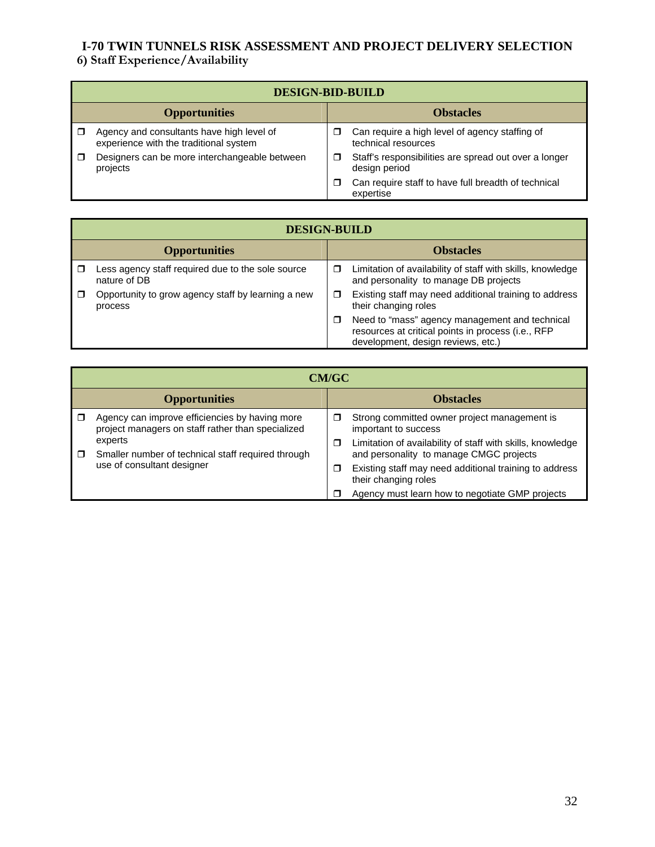#### **6) Staff Experience/Availability**

|                      | <b>DESIGN-BID-BUILD</b>                                                             |                  |                                                                        |  |
|----------------------|-------------------------------------------------------------------------------------|------------------|------------------------------------------------------------------------|--|
| <b>Opportunities</b> |                                                                                     | <b>Obstacles</b> |                                                                        |  |
|                      | Agency and consultants have high level of<br>experience with the traditional system | П                | Can require a high level of agency staffing of<br>technical resources  |  |
|                      | Designers can be more interchangeable between<br>projects                           | ◻                | Staff's responsibilities are spread out over a longer<br>design period |  |
|                      |                                                                                     | □                | Can require staff to have full breadth of technical<br>expertise       |  |

|                      | <b>DESIGN-BUILD</b>                                               |                  |                                                                                                                                            |  |
|----------------------|-------------------------------------------------------------------|------------------|--------------------------------------------------------------------------------------------------------------------------------------------|--|
| <b>Opportunities</b> |                                                                   | <b>Obstacles</b> |                                                                                                                                            |  |
|                      | Less agency staff required due to the sole source<br>nature of DB | ◻                | Limitation of availability of staff with skills, knowledge<br>and personality to manage DB projects                                        |  |
|                      | Opportunity to grow agency staff by learning a new<br>process     | □                | Existing staff may need additional training to address<br>their changing roles                                                             |  |
|                      |                                                                   | ◻                | Need to "mass" agency management and technical<br>resources at critical points in process (i.e., RFP<br>development, design reviews, etc.) |  |

|                      | <b>CM/GC</b>                                                                                        |   |                                                                                                       |  |  |
|----------------------|-----------------------------------------------------------------------------------------------------|---|-------------------------------------------------------------------------------------------------------|--|--|
| <b>Opportunities</b> |                                                                                                     |   | <b>Obstacles</b>                                                                                      |  |  |
|                      | Agency can improve efficiencies by having more<br>project managers on staff rather than specialized | □ | Strong committed owner project management is<br>important to success                                  |  |  |
| $\Box$               | experts<br>Smaller number of technical staff required through<br>use of consultant designer         | □ | Limitation of availability of staff with skills, knowledge<br>and personality to manage CMGC projects |  |  |
|                      |                                                                                                     | □ | Existing staff may need additional training to address<br>their changing roles                        |  |  |
|                      |                                                                                                     |   | Agency must learn how to negotiate GMP projects                                                       |  |  |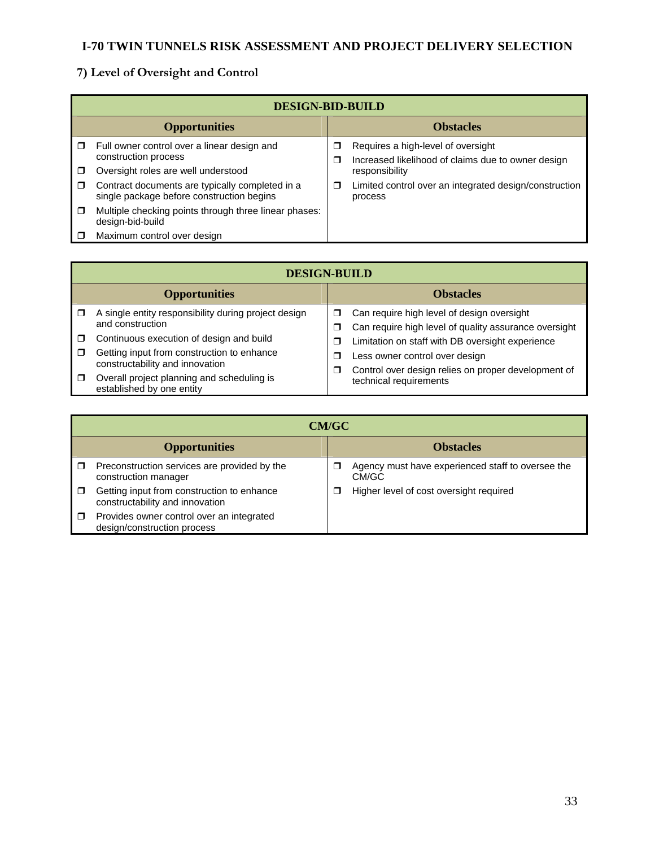# **7) Level of Oversight and Control**

|        | <b>DESIGN-BID-BUILD</b>                                                                      |        |                                                                                          |  |  |
|--------|----------------------------------------------------------------------------------------------|--------|------------------------------------------------------------------------------------------|--|--|
|        | <b>Opportunities</b>                                                                         |        | <b>Obstacles</b>                                                                         |  |  |
| $\Box$ | Full owner control over a linear design and<br>construction process                          | □<br>Π | Requires a high-level of oversight<br>Increased likelihood of claims due to owner design |  |  |
|        | Oversight roles are well understood                                                          |        | responsibility                                                                           |  |  |
| $\Box$ | Contract documents are typically completed in a<br>single package before construction begins | Π      | Limited control over an integrated design/construction<br>process                        |  |  |
| $\Box$ | Multiple checking points through three linear phases:<br>design-bid-build                    |        |                                                                                          |  |  |
|        | Maximum control over design                                                                  |        |                                                                                          |  |  |

|        | <b>DESIGN-BUILD</b>                                                                                                       |             |                                                                                                     |  |  |
|--------|---------------------------------------------------------------------------------------------------------------------------|-------------|-----------------------------------------------------------------------------------------------------|--|--|
|        | <b>Opportunities</b>                                                                                                      |             | <b>Obstacles</b>                                                                                    |  |  |
|        | A single entity responsibility during project design<br>and construction                                                  | □<br>Ω      | Can require high level of design oversight<br>Can require high level of quality assurance oversight |  |  |
| □<br>□ | Continuous execution of design and build<br>Getting input from construction to enhance<br>constructability and innovation | Π<br>J<br>□ | Limitation on staff with DB oversight experience<br>Less owner control over design                  |  |  |
| □      | Overall project planning and scheduling is<br>established by one entity                                                   |             | Control over design relies on proper development of<br>technical requirements                       |  |  |

|                      | <b>CM/GC</b>                                                                  |                  |                                                            |  |
|----------------------|-------------------------------------------------------------------------------|------------------|------------------------------------------------------------|--|
| <b>Opportunities</b> |                                                                               | <b>Obstacles</b> |                                                            |  |
|                      | Preconstruction services are provided by the<br>construction manager          |                  | Agency must have experienced staff to oversee the<br>CM/GC |  |
|                      | Getting input from construction to enhance<br>constructability and innovation |                  | Higher level of cost oversight required                    |  |
| $\Box$               | Provides owner control over an integrated<br>design/construction process      |                  |                                                            |  |